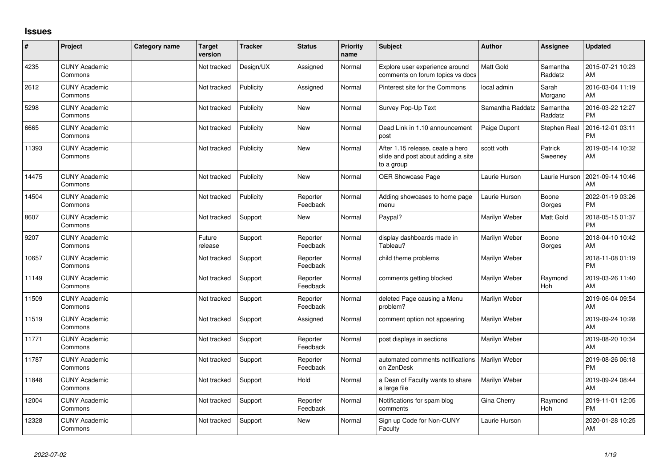## **Issues**

| ∦     | Project                         | Category name | <b>Target</b><br>version | <b>Tracker</b> | <b>Status</b>        | <b>Priority</b><br>name | Subject                                                                              | <b>Author</b>    | <b>Assignee</b>     | <b>Updated</b>                |
|-------|---------------------------------|---------------|--------------------------|----------------|----------------------|-------------------------|--------------------------------------------------------------------------------------|------------------|---------------------|-------------------------------|
| 4235  | <b>CUNY Academic</b><br>Commons |               | Not tracked              | Design/UX      | Assigned             | Normal                  | Explore user experience around<br>comments on forum topics vs docs                   | <b>Matt Gold</b> | Samantha<br>Raddatz | 2015-07-21 10:23<br>AM        |
| 2612  | <b>CUNY Academic</b><br>Commons |               | Not tracked              | Publicity      | Assigned             | Normal                  | Pinterest site for the Commons                                                       | local admin      | Sarah<br>Morgano    | 2016-03-04 11:19<br>AM        |
| 5298  | <b>CUNY Academic</b><br>Commons |               | Not tracked              | Publicity      | <b>New</b>           | Normal                  | Survey Pop-Up Text                                                                   | Samantha Raddatz | Samantha<br>Raddatz | 2016-03-22 12:27<br><b>PM</b> |
| 6665  | <b>CUNY Academic</b><br>Commons |               | Not tracked              | Publicity      | New                  | Normal                  | Dead Link in 1.10 announcement<br>post                                               | Paige Dupont     | Stephen Real        | 2016-12-01 03:11<br><b>PM</b> |
| 11393 | <b>CUNY Academic</b><br>Commons |               | Not tracked              | Publicity      | <b>New</b>           | Normal                  | After 1.15 release, ceate a hero<br>slide and post about adding a site<br>to a group | scott voth       | Patrick<br>Sweeney  | 2019-05-14 10:32<br>AM        |
| 14475 | <b>CUNY Academic</b><br>Commons |               | Not tracked              | Publicity      | <b>New</b>           | Normal                  | <b>OER Showcase Page</b>                                                             | Laurie Hurson    | Laurie Hurson       | 2021-09-14 10:46<br>AM        |
| 14504 | <b>CUNY Academic</b><br>Commons |               | Not tracked              | Publicity      | Reporter<br>Feedback | Normal                  | Adding showcases to home page<br>menu                                                | Laurie Hurson    | Boone<br>Gorges     | 2022-01-19 03:26<br><b>PM</b> |
| 8607  | <b>CUNY Academic</b><br>Commons |               | Not tracked              | Support        | <b>New</b>           | Normal                  | Paypal?                                                                              | Marilyn Weber    | Matt Gold           | 2018-05-15 01:37<br><b>PM</b> |
| 9207  | <b>CUNY Academic</b><br>Commons |               | Future<br>release        | Support        | Reporter<br>Feedback | Normal                  | display dashboards made in<br>Tableau?                                               | Marilyn Weber    | Boone<br>Gorges     | 2018-04-10 10:42<br>AM        |
| 10657 | <b>CUNY Academic</b><br>Commons |               | Not tracked              | Support        | Reporter<br>Feedback | Normal                  | child theme problems                                                                 | Marilyn Weber    |                     | 2018-11-08 01:19<br><b>PM</b> |
| 11149 | <b>CUNY Academic</b><br>Commons |               | Not tracked              | Support        | Reporter<br>Feedback | Normal                  | comments getting blocked                                                             | Marilyn Weber    | Raymond<br>Hoh      | 2019-03-26 11:40<br>AM        |
| 11509 | <b>CUNY Academic</b><br>Commons |               | Not tracked              | Support        | Reporter<br>Feedback | Normal                  | deleted Page causing a Menu<br>problem?                                              | Marilyn Weber    |                     | 2019-06-04 09:54<br>AM        |
| 11519 | <b>CUNY Academic</b><br>Commons |               | Not tracked              | Support        | Assigned             | Normal                  | comment option not appearing                                                         | Marilyn Weber    |                     | 2019-09-24 10:28<br>AM        |
| 11771 | <b>CUNY Academic</b><br>Commons |               | Not tracked              | Support        | Reporter<br>Feedback | Normal                  | post displays in sections                                                            | Marilyn Weber    |                     | 2019-08-20 10:34<br>AM        |
| 11787 | <b>CUNY Academic</b><br>Commons |               | Not tracked              | Support        | Reporter<br>Feedback | Normal                  | automated comments notifications<br>on ZenDesk                                       | Marilyn Weber    |                     | 2019-08-26 06:18<br><b>PM</b> |
| 11848 | <b>CUNY Academic</b><br>Commons |               | Not tracked              | Support        | Hold                 | Normal                  | a Dean of Faculty wants to share<br>a large file                                     | Marilyn Weber    |                     | 2019-09-24 08:44<br>AM        |
| 12004 | <b>CUNY Academic</b><br>Commons |               | Not tracked              | Support        | Reporter<br>Feedback | Normal                  | Notifications for spam blog<br>comments                                              | Gina Cherry      | Raymond<br>Hoh      | 2019-11-01 12:05<br><b>PM</b> |
| 12328 | <b>CUNY Academic</b><br>Commons |               | Not tracked              | Support        | <b>New</b>           | Normal                  | Sign up Code for Non-CUNY<br>Faculty                                                 | Laurie Hurson    |                     | 2020-01-28 10:25<br>AM        |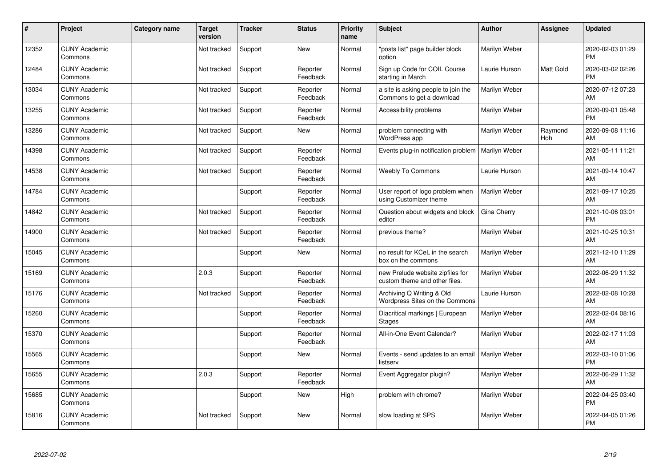| #     | Project                         | Category name | <b>Target</b><br>version | <b>Tracker</b> | <b>Status</b>        | <b>Priority</b><br>name | <b>Subject</b>                                                    | <b>Author</b> | <b>Assignee</b> | <b>Updated</b>                |
|-------|---------------------------------|---------------|--------------------------|----------------|----------------------|-------------------------|-------------------------------------------------------------------|---------------|-----------------|-------------------------------|
| 12352 | <b>CUNY Academic</b><br>Commons |               | Not tracked              | Support        | <b>New</b>           | Normal                  | "posts list" page builder block<br>option                         | Marilyn Weber |                 | 2020-02-03 01:29<br><b>PM</b> |
| 12484 | <b>CUNY Academic</b><br>Commons |               | Not tracked              | Support        | Reporter<br>Feedback | Normal                  | Sign up Code for COIL Course<br>starting in March                 | Laurie Hurson | Matt Gold       | 2020-03-02 02:26<br><b>PM</b> |
| 13034 | <b>CUNY Academic</b><br>Commons |               | Not tracked              | Support        | Reporter<br>Feedback | Normal                  | a site is asking people to join the<br>Commons to get a download  | Marilyn Weber |                 | 2020-07-12 07:23<br>AM        |
| 13255 | <b>CUNY Academic</b><br>Commons |               | Not tracked              | Support        | Reporter<br>Feedback | Normal                  | Accessibility problems                                            | Marilyn Weber |                 | 2020-09-01 05:48<br><b>PM</b> |
| 13286 | <b>CUNY Academic</b><br>Commons |               | Not tracked              | Support        | <b>New</b>           | Normal                  | problem connecting with<br>WordPress app                          | Marilyn Weber | Raymond<br>Hoh  | 2020-09-08 11:16<br>AM        |
| 14398 | <b>CUNY Academic</b><br>Commons |               | Not tracked              | Support        | Reporter<br>Feedback | Normal                  | Events plug-in notification problem                               | Marilyn Weber |                 | 2021-05-11 11:21<br>AM        |
| 14538 | <b>CUNY Academic</b><br>Commons |               | Not tracked              | Support        | Reporter<br>Feedback | Normal                  | <b>Weebly To Commons</b>                                          | Laurie Hurson |                 | 2021-09-14 10:47<br>AM        |
| 14784 | <b>CUNY Academic</b><br>Commons |               |                          | Support        | Reporter<br>Feedback | Normal                  | User report of logo problem when<br>using Customizer theme        | Marilyn Weber |                 | 2021-09-17 10:25<br>AM        |
| 14842 | <b>CUNY Academic</b><br>Commons |               | Not tracked              | Support        | Reporter<br>Feedback | Normal                  | Question about widgets and block<br>editor                        | Gina Cherry   |                 | 2021-10-06 03:01<br><b>PM</b> |
| 14900 | <b>CUNY Academic</b><br>Commons |               | Not tracked              | Support        | Reporter<br>Feedback | Normal                  | previous theme?                                                   | Marilyn Weber |                 | 2021-10-25 10:31<br>AM        |
| 15045 | <b>CUNY Academic</b><br>Commons |               |                          | Support        | <b>New</b>           | Normal                  | no result for KCeL in the search<br>box on the commons            | Marilyn Weber |                 | 2021-12-10 11:29<br>AM        |
| 15169 | <b>CUNY Academic</b><br>Commons |               | 2.0.3                    | Support        | Reporter<br>Feedback | Normal                  | new Prelude website zipfiles for<br>custom theme and other files. | Marilyn Weber |                 | 2022-06-29 11:32<br>AM        |
| 15176 | <b>CUNY Academic</b><br>Commons |               | Not tracked              | Support        | Reporter<br>Feedback | Normal                  | Archiving Q Writing & Old<br>Wordpress Sites on the Commons       | Laurie Hurson |                 | 2022-02-08 10:28<br>AM        |
| 15260 | <b>CUNY Academic</b><br>Commons |               |                          | Support        | Reporter<br>Feedback | Normal                  | Diacritical markings   European<br><b>Stages</b>                  | Marilyn Weber |                 | 2022-02-04 08:16<br>AM.       |
| 15370 | <b>CUNY Academic</b><br>Commons |               |                          | Support        | Reporter<br>Feedback | Normal                  | All-in-One Event Calendar?                                        | Marilyn Weber |                 | 2022-02-17 11:03<br><b>AM</b> |
| 15565 | <b>CUNY Academic</b><br>Commons |               |                          | Support        | <b>New</b>           | Normal                  | Events - send updates to an email<br>listserv                     | Marilyn Weber |                 | 2022-03-10 01:06<br><b>PM</b> |
| 15655 | <b>CUNY Academic</b><br>Commons |               | 2.0.3                    | Support        | Reporter<br>Feedback | Normal                  | Event Aggregator plugin?                                          | Marilyn Weber |                 | 2022-06-29 11:32<br>AM        |
| 15685 | <b>CUNY Academic</b><br>Commons |               |                          | Support        | <b>New</b>           | High                    | problem with chrome?                                              | Marilyn Weber |                 | 2022-04-25 03:40<br><b>PM</b> |
| 15816 | <b>CUNY Academic</b><br>Commons |               | Not tracked              | Support        | <b>New</b>           | Normal                  | slow loading at SPS                                               | Marilyn Weber |                 | 2022-04-05 01:26<br>PM        |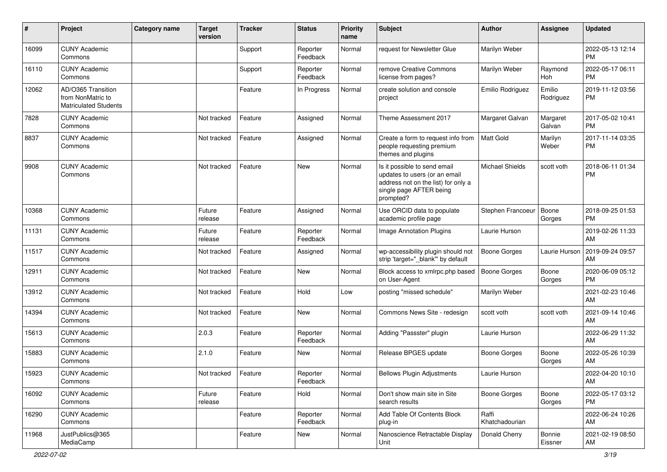| #     | Project                                                                 | Category name | <b>Target</b><br>version | <b>Tracker</b> | <b>Status</b>        | Priority<br>name | <b>Subject</b>                                                                                                                               | <b>Author</b>           | <b>Assignee</b>     | <b>Updated</b>                |
|-------|-------------------------------------------------------------------------|---------------|--------------------------|----------------|----------------------|------------------|----------------------------------------------------------------------------------------------------------------------------------------------|-------------------------|---------------------|-------------------------------|
| 16099 | <b>CUNY Academic</b><br>Commons                                         |               |                          | Support        | Reporter<br>Feedback | Normal           | request for Newsletter Glue                                                                                                                  | Marilyn Weber           |                     | 2022-05-13 12:14<br><b>PM</b> |
| 16110 | <b>CUNY Academic</b><br>Commons                                         |               |                          | Support        | Reporter<br>Feedback | Normal           | remove Creative Commons<br>license from pages?                                                                                               | Marilyn Weber           | Raymond<br>Hoh      | 2022-05-17 06:11<br><b>PM</b> |
| 12062 | AD/O365 Transition<br>from NonMatric to<br><b>Matriculated Students</b> |               |                          | Feature        | In Progress          | Normal           | create solution and console<br>project                                                                                                       | Emilio Rodriguez        | Emilio<br>Rodriguez | 2019-11-12 03:56<br><b>PM</b> |
| 7828  | <b>CUNY Academic</b><br>Commons                                         |               | Not tracked              | Feature        | Assigned             | Normal           | Theme Assessment 2017                                                                                                                        | Margaret Galvan         | Margaret<br>Galvan  | 2017-05-02 10:41<br><b>PM</b> |
| 8837  | <b>CUNY Academic</b><br>Commons                                         |               | Not tracked              | Feature        | Assigned             | Normal           | Create a form to request info from<br>people requesting premium<br>themes and plugins                                                        | Matt Gold               | Marilyn<br>Weber    | 2017-11-14 03:35<br><b>PM</b> |
| 9908  | <b>CUNY Academic</b><br>Commons                                         |               | Not tracked              | Feature        | <b>New</b>           | Normal           | Is it possible to send email<br>updates to users (or an email<br>address not on the list) for only a<br>single page AFTER being<br>prompted? | <b>Michael Shields</b>  | scott voth          | 2018-06-11 01:34<br><b>PM</b> |
| 10368 | <b>CUNY Academic</b><br>Commons                                         |               | Future<br>release        | Feature        | Assigned             | Normal           | Use ORCID data to populate<br>academic profile page                                                                                          | Stephen Francoeur       | Boone<br>Gorges     | 2018-09-25 01:53<br>PM        |
| 11131 | <b>CUNY Academic</b><br>Commons                                         |               | Future<br>release        | Feature        | Reporter<br>Feedback | Normal           | Image Annotation Plugins                                                                                                                     | Laurie Hurson           |                     | 2019-02-26 11:33<br>AM        |
| 11517 | <b>CUNY Academic</b><br>Commons                                         |               | Not tracked              | Feature        | Assigned             | Normal           | wp-accessibility plugin should not<br>strip 'target="_blank" by default                                                                      | <b>Boone Gorges</b>     | Laurie Hurson       | 2019-09-24 09:57<br>AM        |
| 12911 | <b>CUNY Academic</b><br>Commons                                         |               | Not tracked              | Feature        | <b>New</b>           | Normal           | Block access to xmlrpc.php based<br>on User-Agent                                                                                            | <b>Boone Gorges</b>     | Boone<br>Gorges     | 2020-06-09 05:12<br><b>PM</b> |
| 13912 | <b>CUNY Academic</b><br>Commons                                         |               | Not tracked              | Feature        | Hold                 | Low              | posting "missed schedule"                                                                                                                    | Marilyn Weber           |                     | 2021-02-23 10:46<br>AM        |
| 14394 | <b>CUNY Academic</b><br>Commons                                         |               | Not tracked              | Feature        | New                  | Normal           | Commons News Site - redesign                                                                                                                 | scott voth              | scott voth          | 2021-09-14 10:46<br>AM        |
| 15613 | <b>CUNY Academic</b><br>Commons                                         |               | 2.0.3                    | Feature        | Reporter<br>Feedback | Normal           | Adding "Passster" plugin                                                                                                                     | Laurie Hurson           |                     | 2022-06-29 11:32<br>AM        |
| 15883 | <b>CUNY Academic</b><br>Commons                                         |               | 2.1.0                    | Feature        | <b>New</b>           | Normal           | Release BPGES update                                                                                                                         | <b>Boone Gorges</b>     | Boone<br>Gorges     | 2022-05-26 10:39<br>AM        |
| 15923 | <b>CUNY Academic</b><br>Commons                                         |               | Not tracked              | Feature        | Reporter<br>Feedback | Normal           | <b>Bellows Plugin Adjustments</b>                                                                                                            | Laurie Hurson           |                     | 2022-04-20 10:10<br>AM        |
| 16092 | <b>CUNY Academic</b><br>Commons                                         |               | Future<br>release        | Feature        | Hold                 | Normal           | Don't show main site in Site<br>search results                                                                                               | Boone Gorges            | Boone<br>Gorges     | 2022-05-17 03:12<br><b>PM</b> |
| 16290 | <b>CUNY Academic</b><br>Commons                                         |               |                          | Feature        | Reporter<br>Feedback | Normal           | Add Table Of Contents Block<br>plug-in                                                                                                       | Raffi<br>Khatchadourian |                     | 2022-06-24 10:26<br>AM        |
| 11968 | JustPublics@365<br>MediaCamp                                            |               |                          | Feature        | New                  | Normal           | Nanoscience Retractable Display<br>Unit                                                                                                      | Donald Cherry           | Bonnie<br>Eissner   | 2021-02-19 08:50<br>AM        |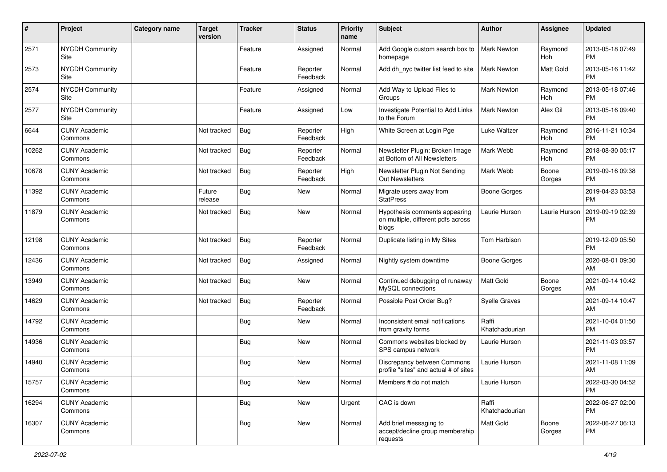| $\#$  | Project                         | <b>Category name</b> | <b>Target</b><br>version | Tracker    | <b>Status</b>        | <b>Priority</b><br>name | <b>Subject</b>                                                               | <b>Author</b>           | <b>Assignee</b> | <b>Updated</b>                |
|-------|---------------------------------|----------------------|--------------------------|------------|----------------------|-------------------------|------------------------------------------------------------------------------|-------------------------|-----------------|-------------------------------|
| 2571  | <b>NYCDH Community</b><br>Site  |                      |                          | Feature    | Assigned             | Normal                  | Add Google custom search box to<br>homepage                                  | <b>Mark Newton</b>      | Raymond<br>Hoh  | 2013-05-18 07:49<br><b>PM</b> |
| 2573  | <b>NYCDH Community</b><br>Site  |                      |                          | Feature    | Reporter<br>Feedback | Normal                  | Add dh nyc twitter list feed to site                                         | <b>Mark Newton</b>      | Matt Gold       | 2013-05-16 11:42<br><b>PM</b> |
| 2574  | NYCDH Community<br>Site         |                      |                          | Feature    | Assigned             | Normal                  | Add Way to Upload Files to<br>Groups                                         | <b>Mark Newton</b>      | Raymond<br>Hoh  | 2013-05-18 07:46<br><b>PM</b> |
| 2577  | <b>NYCDH Community</b><br>Site  |                      |                          | Feature    | Assigned             | Low                     | Investigate Potential to Add Links<br>to the Forum                           | Mark Newton             | Alex Gil        | 2013-05-16 09:40<br><b>PM</b> |
| 6644  | <b>CUNY Academic</b><br>Commons |                      | Not tracked              | Bug        | Reporter<br>Feedback | High                    | White Screen at Login Pge                                                    | Luke Waltzer            | Raymond<br>Hoh  | 2016-11-21 10:34<br><b>PM</b> |
| 10262 | <b>CUNY Academic</b><br>Commons |                      | Not tracked              | Bug        | Reporter<br>Feedback | Normal                  | Newsletter Plugin: Broken Image<br>at Bottom of All Newsletters              | Mark Webb               | Raymond<br>Hoh  | 2018-08-30 05:17<br><b>PM</b> |
| 10678 | <b>CUNY Academic</b><br>Commons |                      | Not tracked              | <b>Bug</b> | Reporter<br>Feedback | High                    | Newsletter Plugin Not Sending<br>Out Newsletters                             | Mark Webb               | Boone<br>Gorges | 2019-09-16 09:38<br><b>PM</b> |
| 11392 | <b>CUNY Academic</b><br>Commons |                      | Future<br>release        | Bug        | New                  | Normal                  | Migrate users away from<br><b>StatPress</b>                                  | <b>Boone Gorges</b>     |                 | 2019-04-23 03:53<br><b>PM</b> |
| 11879 | <b>CUNY Academic</b><br>Commons |                      | Not tracked              | Bug        | <b>New</b>           | Normal                  | Hypothesis comments appearing<br>on multiple, different pdfs across<br>blogs | Laurie Hurson           | Laurie Hurson   | 2019-09-19 02:39<br>PM        |
| 12198 | <b>CUNY Academic</b><br>Commons |                      | Not tracked              | <b>Bug</b> | Reporter<br>Feedback | Normal                  | Duplicate listing in My Sites                                                | Tom Harbison            |                 | 2019-12-09 05:50<br><b>PM</b> |
| 12436 | <b>CUNY Academic</b><br>Commons |                      | Not tracked              | Bug        | Assigned             | Normal                  | Nightly system downtime                                                      | <b>Boone Gorges</b>     |                 | 2020-08-01 09:30<br>AM        |
| 13949 | <b>CUNY Academic</b><br>Commons |                      | Not tracked              | Bug        | New                  | Normal                  | Continued debugging of runaway<br>MySQL connections                          | <b>Matt Gold</b>        | Boone<br>Gorges | 2021-09-14 10:42<br>AM        |
| 14629 | <b>CUNY Academic</b><br>Commons |                      | Not tracked              | Bug        | Reporter<br>Feedback | Normal                  | Possible Post Order Bug?                                                     | <b>Syelle Graves</b>    |                 | 2021-09-14 10:47<br>AM        |
| 14792 | <b>CUNY Academic</b><br>Commons |                      |                          | Bug        | New                  | Normal                  | Inconsistent email notifications<br>from gravity forms                       | Raffi<br>Khatchadourian |                 | 2021-10-04 01:50<br><b>PM</b> |
| 14936 | <b>CUNY Academic</b><br>Commons |                      |                          | <b>Bug</b> | New                  | Normal                  | Commons websites blocked by<br>SPS campus network                            | Laurie Hurson           |                 | 2021-11-03 03:57<br><b>PM</b> |
| 14940 | <b>CUNY Academic</b><br>Commons |                      |                          | Bug        | New                  | Normal                  | Discrepancy between Commons<br>profile "sites" and actual # of sites         | Laurie Hurson           |                 | 2021-11-08 11:09<br>AM        |
| 15757 | <b>CUNY Academic</b><br>Commons |                      |                          | <b>Bug</b> | New                  | Normal                  | Members # do not match                                                       | Laurie Hurson           |                 | 2022-03-30 04:52<br><b>PM</b> |
| 16294 | <b>CUNY Academic</b><br>Commons |                      |                          | <b>Bug</b> | New                  | Urgent                  | CAC is down                                                                  | Raffi<br>Khatchadourian |                 | 2022-06-27 02:00<br><b>PM</b> |
| 16307 | <b>CUNY Academic</b><br>Commons |                      |                          | <b>Bug</b> | New                  | Normal                  | Add brief messaging to<br>accept/decline group membership<br>requests        | Matt Gold               | Boone<br>Gorges | 2022-06-27 06:13<br><b>PM</b> |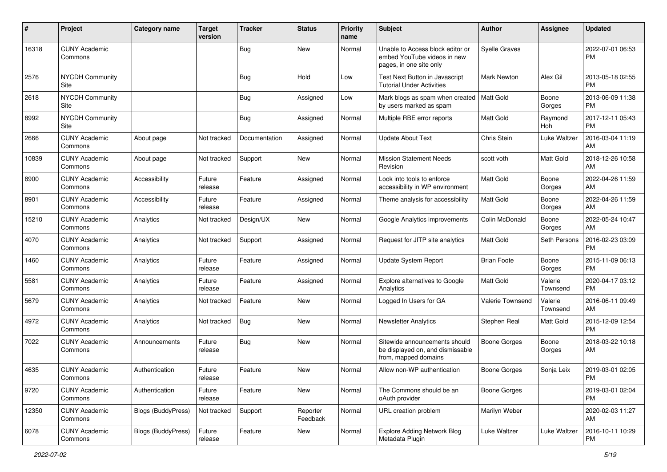| $\#$  | Project                         | <b>Category name</b>      | <b>Target</b><br>version | <b>Tracker</b> | <b>Status</b>        | Priority<br>name | <b>Subject</b>                                                                             | <b>Author</b>        | <b>Assignee</b>     | <b>Updated</b>                |
|-------|---------------------------------|---------------------------|--------------------------|----------------|----------------------|------------------|--------------------------------------------------------------------------------------------|----------------------|---------------------|-------------------------------|
| 16318 | <b>CUNY Academic</b><br>Commons |                           |                          | <b>Bug</b>     | New                  | Normal           | Unable to Access block editor or<br>embed YouTube videos in new<br>pages, in one site only | <b>Syelle Graves</b> |                     | 2022-07-01 06:53<br>PM.       |
| 2576  | <b>NYCDH Community</b><br>Site  |                           |                          | Bug            | Hold                 | Low              | Test Next Button in Javascript<br><b>Tutorial Under Activities</b>                         | Mark Newton          | Alex Gil            | 2013-05-18 02:55<br><b>PM</b> |
| 2618  | <b>NYCDH Community</b><br>Site  |                           |                          | <b>Bug</b>     | Assigned             | Low              | Mark blogs as spam when created<br>by users marked as spam                                 | <b>Matt Gold</b>     | Boone<br>Gorges     | 2013-06-09 11:38<br><b>PM</b> |
| 8992  | NYCDH Community<br>Site         |                           |                          | Bug            | Assigned             | Normal           | Multiple RBE error reports                                                                 | Matt Gold            | Raymond<br>Hoh      | 2017-12-11 05:43<br><b>PM</b> |
| 2666  | <b>CUNY Academic</b><br>Commons | About page                | Not tracked              | Documentation  | Assigned             | Normal           | <b>Update About Text</b>                                                                   | Chris Stein          | Luke Waltzer        | 2016-03-04 11:19<br>AM        |
| 10839 | <b>CUNY Academic</b><br>Commons | About page                | Not tracked              | Support        | New                  | Normal           | <b>Mission Statement Needs</b><br>Revision                                                 | scott voth           | Matt Gold           | 2018-12-26 10:58<br>AM        |
| 8900  | <b>CUNY Academic</b><br>Commons | Accessibility             | Future<br>release        | Feature        | Assigned             | Normal           | Look into tools to enforce<br>accessibility in WP environment                              | Matt Gold            | Boone<br>Gorges     | 2022-04-26 11:59<br>AM        |
| 8901  | <b>CUNY Academic</b><br>Commons | Accessibility             | Future<br>release        | Feature        | Assigned             | Normal           | Theme analysis for accessibility                                                           | Matt Gold            | Boone<br>Gorges     | 2022-04-26 11:59<br>AM        |
| 15210 | <b>CUNY Academic</b><br>Commons | Analytics                 | Not tracked              | Design/UX      | <b>New</b>           | Normal           | Google Analytics improvements                                                              | Colin McDonald       | Boone<br>Gorges     | 2022-05-24 10:47<br>AM        |
| 4070  | <b>CUNY Academic</b><br>Commons | Analytics                 | Not tracked              | Support        | Assigned             | Normal           | Request for JITP site analytics                                                            | Matt Gold            | Seth Persons        | 2016-02-23 03:09<br><b>PM</b> |
| 1460  | <b>CUNY Academic</b><br>Commons | Analytics                 | Future<br>release        | Feature        | Assigned             | Normal           | Update System Report                                                                       | <b>Brian Foote</b>   | Boone<br>Gorges     | 2015-11-09 06:13<br><b>PM</b> |
| 5581  | <b>CUNY Academic</b><br>Commons | Analytics                 | Future<br>release        | Feature        | Assigned             | Normal           | Explore alternatives to Google<br>Analytics                                                | Matt Gold            | Valerie<br>Townsend | 2020-04-17 03:12<br><b>PM</b> |
| 5679  | <b>CUNY Academic</b><br>Commons | Analytics                 | Not tracked              | Feature        | New                  | Normal           | Logged In Users for GA                                                                     | Valerie Townsend     | Valerie<br>Townsend | 2016-06-11 09:49<br>AM        |
| 4972  | <b>CUNY Academic</b><br>Commons | Analytics                 | Not tracked              | Bug            | New                  | Normal           | <b>Newsletter Analytics</b>                                                                | Stephen Real         | Matt Gold           | 2015-12-09 12:54<br><b>PM</b> |
| 7022  | <b>CUNY Academic</b><br>Commons | Announcements             | Future<br>release        | <b>Bug</b>     | New                  | Normal           | Sitewide announcements should<br>be displayed on, and dismissable<br>from, mapped domains  | <b>Boone Gorges</b>  | Boone<br>Gorges     | 2018-03-22 10:18<br>AM        |
| 4635  | <b>CUNY Academic</b><br>Commons | Authentication            | Future<br>release        | Feature        | New                  | Normal           | Allow non-WP authentication                                                                | Boone Gorges         | Sonja Leix          | 2019-03-01 02:05<br>PM        |
| 9720  | <b>CUNY Academic</b><br>Commons | Authentication            | Future<br>release        | Feature        | New                  | Normal           | The Commons should be an<br>oAuth provider                                                 | <b>Boone Gorges</b>  |                     | 2019-03-01 02:04<br>PM.       |
| 12350 | <b>CUNY Academic</b><br>Commons | Blogs (BuddyPress)        | Not tracked              | Support        | Reporter<br>Feedback | Normal           | URL creation problem                                                                       | Marilyn Weber        |                     | 2020-02-03 11:27<br>AM        |
| 6078  | <b>CUNY Academic</b><br>Commons | <b>Blogs (BuddyPress)</b> | Future<br>release        | Feature        | New                  | Normal           | <b>Explore Adding Network Blog</b><br>Metadata Plugin                                      | Luke Waltzer         | Luke Waltzer        | 2016-10-11 10:29<br><b>PM</b> |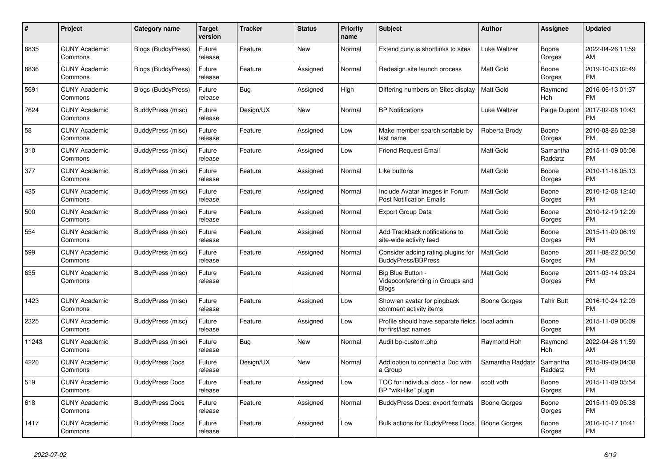| #     | Project                         | <b>Category name</b>      | <b>Target</b><br>version | <b>Tracker</b> | <b>Status</b> | <b>Priority</b><br>name | <b>Subject</b>                                                       | <b>Author</b>       | Assignee            | <b>Updated</b>                |
|-------|---------------------------------|---------------------------|--------------------------|----------------|---------------|-------------------------|----------------------------------------------------------------------|---------------------|---------------------|-------------------------------|
| 8835  | <b>CUNY Academic</b><br>Commons | <b>Blogs (BuddyPress)</b> | Future<br>release        | Feature        | New           | Normal                  | Extend cuny is shortlinks to sites                                   | Luke Waltzer        | Boone<br>Gorges     | 2022-04-26 11:59<br>AM        |
| 8836  | <b>CUNY Academic</b><br>Commons | Blogs (BuddyPress)        | Future<br>release        | Feature        | Assigned      | Normal                  | Redesign site launch process                                         | Matt Gold           | Boone<br>Gorges     | 2019-10-03 02:49<br><b>PM</b> |
| 5691  | <b>CUNY Academic</b><br>Commons | Blogs (BuddyPress)        | Future<br>release        | Bug            | Assigned      | High                    | Differing numbers on Sites display                                   | Matt Gold           | Raymond<br>Hoh      | 2016-06-13 01:37<br><b>PM</b> |
| 7624  | <b>CUNY Academic</b><br>Commons | BuddyPress (misc)         | Future<br>release        | Design/UX      | New           | Normal                  | <b>BP</b> Notifications                                              | Luke Waltzer        | Paige Dupont        | 2017-02-08 10:43<br><b>PM</b> |
| 58    | <b>CUNY Academic</b><br>Commons | BuddyPress (misc)         | Future<br>release        | Feature        | Assigned      | Low                     | Make member search sortable by<br>last name                          | Roberta Brody       | Boone<br>Gorges     | 2010-08-26 02:38<br><b>PM</b> |
| 310   | <b>CUNY Academic</b><br>Commons | BuddyPress (misc)         | Future<br>release        | Feature        | Assigned      | Low                     | <b>Friend Request Email</b>                                          | Matt Gold           | Samantha<br>Raddatz | 2015-11-09 05:08<br><b>PM</b> |
| 377   | <b>CUNY Academic</b><br>Commons | <b>BuddyPress (misc)</b>  | Future<br>release        | Feature        | Assigned      | Normal                  | Like buttons                                                         | Matt Gold           | Boone<br>Gorges     | 2010-11-16 05:13<br><b>PM</b> |
| 435   | <b>CUNY Academic</b><br>Commons | BuddyPress (misc)         | Future<br>release        | Feature        | Assigned      | Normal                  | Include Avatar Images in Forum<br><b>Post Notification Emails</b>    | <b>Matt Gold</b>    | Boone<br>Gorges     | 2010-12-08 12:40<br><b>PM</b> |
| 500   | <b>CUNY Academic</b><br>Commons | BuddyPress (misc)         | Future<br>release        | Feature        | Assigned      | Normal                  | <b>Export Group Data</b>                                             | Matt Gold           | Boone<br>Gorges     | 2010-12-19 12:09<br><b>PM</b> |
| 554   | <b>CUNY Academic</b><br>Commons | BuddyPress (misc)         | Future<br>release        | Feature        | Assigned      | Normal                  | Add Trackback notifications to<br>site-wide activity feed            | <b>Matt Gold</b>    | Boone<br>Gorges     | 2015-11-09 06:19<br><b>PM</b> |
| 599   | <b>CUNY Academic</b><br>Commons | <b>BuddyPress (misc)</b>  | Future<br>release        | Feature        | Assigned      | Normal                  | Consider adding rating plugins for<br><b>BuddyPress/BBPress</b>      | <b>Matt Gold</b>    | Boone<br>Gorges     | 2011-08-22 06:50<br><b>PM</b> |
| 635   | <b>CUNY Academic</b><br>Commons | BuddyPress (misc)         | Future<br>release        | Feature        | Assigned      | Normal                  | Big Blue Button -<br>Videoconferencing in Groups and<br><b>Blogs</b> | <b>Matt Gold</b>    | Boone<br>Gorges     | 2011-03-14 03:24<br><b>PM</b> |
| 1423  | <b>CUNY Academic</b><br>Commons | <b>BuddyPress (misc)</b>  | Future<br>release        | Feature        | Assigned      | Low                     | Show an avatar for pingback<br>comment activity items                | Boone Gorges        | <b>Tahir Butt</b>   | 2016-10-24 12:03<br><b>PM</b> |
| 2325  | <b>CUNY Academic</b><br>Commons | BuddyPress (misc)         | Future<br>release        | Feature        | Assigned      | Low                     | Profile should have separate fields<br>for first/last names          | local admin         | Boone<br>Gorges     | 2015-11-09 06:09<br><b>PM</b> |
| 11243 | <b>CUNY Academic</b><br>Commons | BuddyPress (misc)         | Future<br>release        | Bug            | New           | Normal                  | Audit bp-custom.php                                                  | Raymond Hoh         | Raymond<br>Hoh      | 2022-04-26 11:59<br>AM        |
| 4226  | <b>CUNY Academic</b><br>Commons | <b>BuddyPress Docs</b>    | Future<br>release        | Design/UX      | <b>New</b>    | Normal                  | Add option to connect a Doc with<br>a Group                          | Samantha Raddatz    | Samantha<br>Raddatz | 2015-09-09 04:08<br><b>PM</b> |
| 519   | <b>CUNY Academic</b><br>Commons | <b>BuddyPress Docs</b>    | Future<br>release        | Feature        | Assigned      | Low                     | TOC for individual docs - for new<br>BP "wiki-like" plugin           | scott voth          | Boone<br>Gorges     | 2015-11-09 05:54<br><b>PM</b> |
| 618   | <b>CUNY Academic</b><br>Commons | <b>BuddyPress Docs</b>    | Future<br>release        | Feature        | Assigned      | Normal                  | BuddyPress Docs: export formats                                      | <b>Boone Gorges</b> | Boone<br>Gorges     | 2015-11-09 05:38<br><b>PM</b> |
| 1417  | <b>CUNY Academic</b><br>Commons | <b>BuddyPress Docs</b>    | Future<br>release        | Feature        | Assigned      | Low                     | <b>Bulk actions for BuddyPress Docs</b>                              | Boone Gorges        | Boone<br>Gorges     | 2016-10-17 10:41<br>PM        |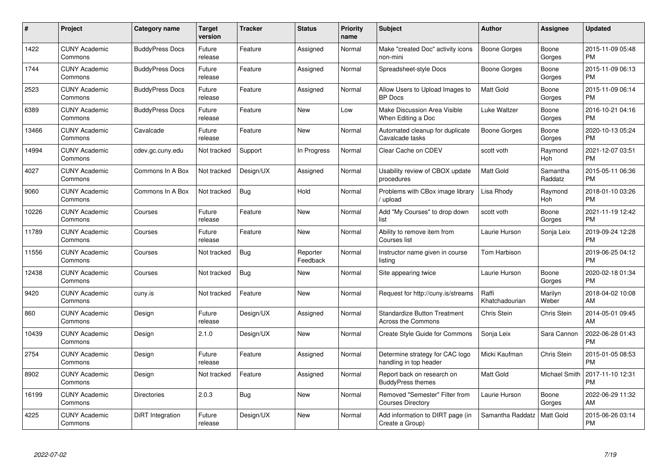| #     | Project                         | <b>Category name</b>   | Target<br>version | <b>Tracker</b> | <b>Status</b>        | Priority<br>name | <b>Subject</b>                                                   | <b>Author</b>           | <b>Assignee</b>     | <b>Updated</b>                |
|-------|---------------------------------|------------------------|-------------------|----------------|----------------------|------------------|------------------------------------------------------------------|-------------------------|---------------------|-------------------------------|
| 1422  | <b>CUNY Academic</b><br>Commons | <b>BuddyPress Docs</b> | Future<br>release | Feature        | Assigned             | Normal           | Make "created Doc" activity icons<br>non-mini                    | <b>Boone Gorges</b>     | Boone<br>Gorges     | 2015-11-09 05:48<br><b>PM</b> |
| 1744  | <b>CUNY Academic</b><br>Commons | <b>BuddyPress Docs</b> | Future<br>release | Feature        | Assigned             | Normal           | Spreadsheet-style Docs                                           | Boone Gorges            | Boone<br>Gorges     | 2015-11-09 06:13<br><b>PM</b> |
| 2523  | <b>CUNY Academic</b><br>Commons | <b>BuddyPress Docs</b> | Future<br>release | Feature        | Assigned             | Normal           | Allow Users to Upload Images to<br><b>BP</b> Docs                | Matt Gold               | Boone<br>Gorges     | 2015-11-09 06:14<br><b>PM</b> |
| 6389  | <b>CUNY Academic</b><br>Commons | <b>BuddyPress Docs</b> | Future<br>release | Feature        | <b>New</b>           | Low              | <b>Make Discussion Area Visible</b><br>When Editing a Doc        | Luke Waltzer            | Boone<br>Gorges     | 2016-10-21 04:16<br><b>PM</b> |
| 13466 | <b>CUNY Academic</b><br>Commons | Cavalcade              | Future<br>release | Feature        | <b>New</b>           | Normal           | Automated cleanup for duplicate<br>Cavalcade tasks               | Boone Gorges            | Boone<br>Gorges     | 2020-10-13 05:24<br><b>PM</b> |
| 14994 | <b>CUNY Academic</b><br>Commons | cdev.gc.cuny.edu       | Not tracked       | Support        | In Progress          | Normal           | Clear Cache on CDEV                                              | scott voth              | Raymond<br>Hoh      | 2021-12-07 03:51<br><b>PM</b> |
| 4027  | <b>CUNY Academic</b><br>Commons | Commons In A Box       | Not tracked       | Design/UX      | Assigned             | Normal           | Usability review of CBOX update<br>procedures                    | Matt Gold               | Samantha<br>Raddatz | 2015-05-11 06:36<br><b>PM</b> |
| 9060  | <b>CUNY Academic</b><br>Commons | Commons In A Box       | Not tracked       | <b>Bug</b>     | Hold                 | Normal           | Problems with CBox image library<br>/ upload                     | Lisa Rhody              | Raymond<br>Hoh      | 2018-01-10 03:26<br><b>PM</b> |
| 10226 | <b>CUNY Academic</b><br>Commons | Courses                | Future<br>release | Feature        | <b>New</b>           | Normal           | Add "My Courses" to drop down<br>list                            | scott voth              | Boone<br>Gorges     | 2021-11-19 12:42<br><b>PM</b> |
| 11789 | <b>CUNY Academic</b><br>Commons | Courses                | Future<br>release | Feature        | <b>New</b>           | Normal           | Ability to remove item from<br>Courses list                      | Laurie Hurson           | Sonja Leix          | 2019-09-24 12:28<br><b>PM</b> |
| 11556 | <b>CUNY Academic</b><br>Commons | Courses                | Not tracked       | Bug            | Reporter<br>Feedback | Normal           | Instructor name given in course<br>listing                       | Tom Harbison            |                     | 2019-06-25 04:12<br><b>PM</b> |
| 12438 | <b>CUNY Academic</b><br>Commons | Courses                | Not tracked       | Bug            | New                  | Normal           | Site appearing twice                                             | Laurie Hurson           | Boone<br>Gorges     | 2020-02-18 01:34<br><b>PM</b> |
| 9420  | <b>CUNY Academic</b><br>Commons | cuny.is                | Not tracked       | Feature        | <b>New</b>           | Normal           | Request for http://cuny.is/streams                               | Raffi<br>Khatchadourian | Marilyn<br>Weber    | 2018-04-02 10:08<br>AM        |
| 860   | <b>CUNY Academic</b><br>Commons | Design                 | Future<br>release | Design/UX      | Assigned             | Normal           | <b>Standardize Button Treatment</b><br><b>Across the Commons</b> | Chris Stein             | Chris Stein         | 2014-05-01 09:45<br>AM        |
| 10439 | <b>CUNY Academic</b><br>Commons | Design                 | 2.1.0             | Design/UX      | <b>New</b>           | Normal           | Create Style Guide for Commons                                   | Sonja Leix              | Sara Cannon         | 2022-06-28 01:43<br><b>PM</b> |
| 2754  | <b>CUNY Academic</b><br>Commons | Design                 | Future<br>release | Feature        | Assigned             | Normal           | Determine strategy for CAC logo<br>handling in top header        | Micki Kaufman           | Chris Stein         | 2015-01-05 08:53<br><b>PM</b> |
| 8902  | <b>CUNY Academic</b><br>Commons | Design                 | Not tracked       | Feature        | Assigned             | Normal           | Report back on research on<br><b>BuddyPress themes</b>           | Matt Gold               | Michael Smith       | 2017-11-10 12:31<br><b>PM</b> |
| 16199 | <b>CUNY Academic</b><br>Commons | <b>Directories</b>     | 2.0.3             | Bug            | New                  | Normal           | Removed "Semester" Filter from<br><b>Courses Directory</b>       | Laurie Hurson           | Boone<br>Gorges     | 2022-06-29 11:32<br>AM        |
| 4225  | <b>CUNY Academic</b><br>Commons | DiRT Integration       | Future<br>release | Design/UX      | New                  | Normal           | Add information to DIRT page (in<br>Create a Group)              | Samantha Raddatz        | Matt Gold           | 2015-06-26 03:14<br>PM        |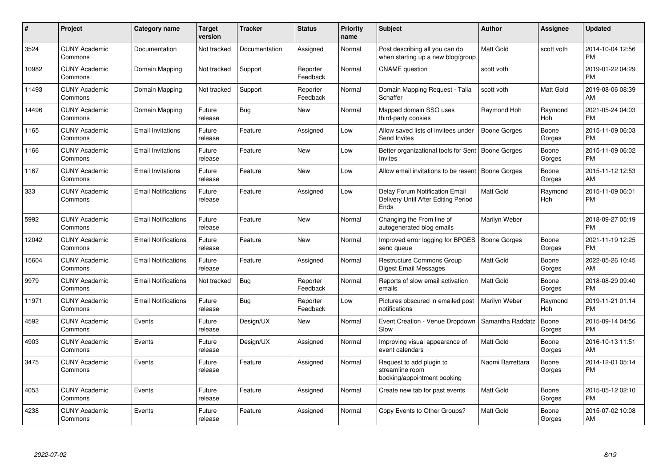| #     | Project                         | <b>Category name</b>       | <b>Target</b><br>version | <b>Tracker</b> | <b>Status</b>        | Priority<br>name | <b>Subject</b>                                                                | <b>Author</b>       | <b>Assignee</b> | <b>Updated</b>                |
|-------|---------------------------------|----------------------------|--------------------------|----------------|----------------------|------------------|-------------------------------------------------------------------------------|---------------------|-----------------|-------------------------------|
| 3524  | <b>CUNY Academic</b><br>Commons | Documentation              | Not tracked              | Documentation  | Assigned             | Normal           | Post describing all you can do<br>when starting up a new blog/group           | <b>Matt Gold</b>    | scott voth      | 2014-10-04 12:56<br><b>PM</b> |
| 10982 | <b>CUNY Academic</b><br>Commons | Domain Mapping             | Not tracked              | Support        | Reporter<br>Feedback | Normal           | <b>CNAME</b> question                                                         | scott voth          |                 | 2019-01-22 04:29<br><b>PM</b> |
| 11493 | <b>CUNY Academic</b><br>Commons | Domain Mapping             | Not tracked              | Support        | Reporter<br>Feedback | Normal           | Domain Mapping Request - Talia<br>Schaffer                                    | scott voth          | Matt Gold       | 2019-08-06 08:39<br>AM        |
| 14496 | <b>CUNY Academic</b><br>Commons | Domain Mapping             | Future<br>release        | Bug            | New                  | Normal           | Mapped domain SSO uses<br>third-party cookies                                 | Raymond Hoh         | Raymond<br>Hoh  | 2021-05-24 04:03<br><b>PM</b> |
| 1165  | <b>CUNY Academic</b><br>Commons | Email Invitations          | Future<br>release        | Feature        | Assigned             | Low              | Allow saved lists of invitees under<br>Send Invites                           | <b>Boone Gorges</b> | Boone<br>Gorges | 2015-11-09 06:03<br><b>PM</b> |
| 1166  | <b>CUNY Academic</b><br>Commons | <b>Email Invitations</b>   | Future<br>release        | Feature        | New                  | Low              | Better organizational tools for Sent   Boone Gorges<br><b>Invites</b>         |                     | Boone<br>Gorges | 2015-11-09 06:02<br><b>PM</b> |
| 1167  | <b>CUNY Academic</b><br>Commons | <b>Email Invitations</b>   | Future<br>release        | Feature        | <b>New</b>           | Low              | Allow email invitations to be resent   Boone Gorges                           |                     | Boone<br>Gorges | 2015-11-12 12:53<br>AM        |
| 333   | <b>CUNY Academic</b><br>Commons | <b>Email Notifications</b> | Future<br>release        | Feature        | Assigned             | Low              | Delay Forum Notification Email<br>Delivery Until After Editing Period<br>Ends | <b>Matt Gold</b>    | Raymond<br>Hoh  | 2015-11-09 06:01<br><b>PM</b> |
| 5992  | <b>CUNY Academic</b><br>Commons | <b>Email Notifications</b> | Future<br>release        | Feature        | <b>New</b>           | Normal           | Changing the From line of<br>autogenerated blog emails                        | Marilyn Weber       |                 | 2018-09-27 05:19<br><b>PM</b> |
| 12042 | <b>CUNY Academic</b><br>Commons | <b>Email Notifications</b> | Future<br>release        | Feature        | <b>New</b>           | Normal           | Improved error logging for BPGES<br>send queue                                | Boone Gorges        | Boone<br>Gorges | 2021-11-19 12:25<br><b>PM</b> |
| 15604 | <b>CUNY Academic</b><br>Commons | <b>Email Notifications</b> | Future<br>release        | Feature        | Assigned             | Normal           | Restructure Commons Group<br>Digest Email Messages                            | <b>Matt Gold</b>    | Boone<br>Gorges | 2022-05-26 10:45<br>AM        |
| 9979  | <b>CUNY Academic</b><br>Commons | <b>Email Notifications</b> | Not tracked              | <b>Bug</b>     | Reporter<br>Feedback | Normal           | Reports of slow email activation<br>emails                                    | Matt Gold           | Boone<br>Gorges | 2018-08-29 09:40<br><b>PM</b> |
| 11971 | <b>CUNY Academic</b><br>Commons | <b>Email Notifications</b> | Future<br>release        | Bug            | Reporter<br>Feedback | Low              | Pictures obscured in emailed post<br>notifications                            | Marilyn Weber       | Raymond<br>Hoh  | 2019-11-21 01:14<br><b>PM</b> |
| 4592  | <b>CUNY Academic</b><br>Commons | Events                     | Future<br>release        | Design/UX      | New                  | Normal           | Event Creation - Venue Dropdown<br>Slow                                       | Samantha Raddatz    | Boone<br>Gorges | 2015-09-14 04:56<br><b>PM</b> |
| 4903  | <b>CUNY Academic</b><br>Commons | Events                     | Future<br>release        | Design/UX      | Assigned             | Normal           | Improving visual appearance of<br>event calendars                             | Matt Gold           | Boone<br>Gorges | 2016-10-13 11:51<br>AM        |
| 3475  | <b>CUNY Academic</b><br>Commons | Events                     | Future<br>release        | Feature        | Assigned             | Normal           | Request to add plugin to<br>streamline room<br>booking/appointment booking    | Naomi Barrettara    | Boone<br>Gorges | 2014-12-01 05:14<br><b>PM</b> |
| 4053  | <b>CUNY Academic</b><br>Commons | Events                     | Future<br>release        | Feature        | Assigned             | Normal           | Create new tab for past events                                                | <b>Matt Gold</b>    | Boone<br>Gorges | 2015-05-12 02:10<br><b>PM</b> |
| 4238  | <b>CUNY Academic</b><br>Commons | Events                     | Future<br>release        | Feature        | Assigned             | Normal           | Copy Events to Other Groups?                                                  | <b>Matt Gold</b>    | Boone<br>Gorges | 2015-07-02 10:08<br>AM        |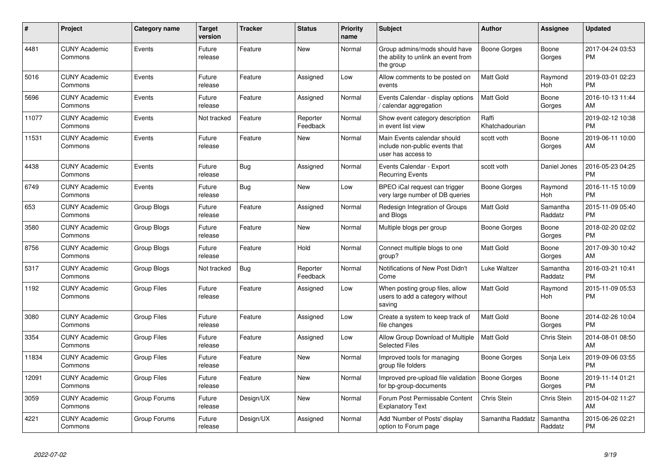| #     | Project                         | <b>Category name</b> | Target<br>version | <b>Tracker</b> | <b>Status</b>        | <b>Priority</b><br>name | <b>Subject</b>                                                                      | <b>Author</b>           | <b>Assignee</b>       | <b>Updated</b>                |
|-------|---------------------------------|----------------------|-------------------|----------------|----------------------|-------------------------|-------------------------------------------------------------------------------------|-------------------------|-----------------------|-------------------------------|
| 4481  | <b>CUNY Academic</b><br>Commons | Events               | Future<br>release | Feature        | New                  | Normal                  | Group admins/mods should have<br>the ability to unlink an event from<br>the group   | Boone Gorges            | Boone<br>Gorges       | 2017-04-24 03:53<br><b>PM</b> |
| 5016  | <b>CUNY Academic</b><br>Commons | Events               | Future<br>release | Feature        | Assigned             | Low                     | Allow comments to be posted on<br>events                                            | <b>Matt Gold</b>        | Raymond<br>Hoh        | 2019-03-01 02:23<br><b>PM</b> |
| 5696  | <b>CUNY Academic</b><br>Commons | Events               | Future<br>release | Feature        | Assigned             | Normal                  | Events Calendar - display options<br>calendar aggregation                           | Matt Gold               | Boone<br>Gorges       | 2016-10-13 11:44<br>AM        |
| 11077 | <b>CUNY Academic</b><br>Commons | Events               | Not tracked       | Feature        | Reporter<br>Feedback | Normal                  | Show event category description<br>in event list view                               | Raffi<br>Khatchadourian |                       | 2019-02-12 10:38<br><b>PM</b> |
| 11531 | <b>CUNY Academic</b><br>Commons | Events               | Future<br>release | Feature        | New                  | Normal                  | Main Events calendar should<br>include non-public events that<br>user has access to | scott voth              | Boone<br>Gorges       | 2019-06-11 10:00<br>AM        |
| 4438  | <b>CUNY Academic</b><br>Commons | Events               | Future<br>release | <b>Bug</b>     | Assigned             | Normal                  | Events Calendar - Export<br><b>Recurring Events</b>                                 | scott voth              | Daniel Jones          | 2016-05-23 04:25<br><b>PM</b> |
| 6749  | <b>CUNY Academic</b><br>Commons | Events               | Future<br>release | Bug            | <b>New</b>           | Low                     | BPEO iCal request can trigger<br>very large number of DB queries                    | Boone Gorges            | Raymond<br>Hoh        | 2016-11-15 10:09<br><b>PM</b> |
| 653   | <b>CUNY Academic</b><br>Commons | Group Blogs          | Future<br>release | Feature        | Assigned             | Normal                  | Redesign Integration of Groups<br>and Blogs                                         | <b>Matt Gold</b>        | Samantha<br>Raddatz   | 2015-11-09 05:40<br>PM        |
| 3580  | <b>CUNY Academic</b><br>Commons | Group Blogs          | Future<br>release | Feature        | New                  | Normal                  | Multiple blogs per group                                                            | Boone Gorges            | Boone<br>Gorges       | 2018-02-20 02:02<br>PM        |
| 8756  | <b>CUNY Academic</b><br>Commons | Group Blogs          | Future<br>release | Feature        | Hold                 | Normal                  | Connect multiple blogs to one<br>group?                                             | Matt Gold               | Boone<br>Gorges       | 2017-09-30 10:42<br>AM        |
| 5317  | <b>CUNY Academic</b><br>Commons | Group Blogs          | Not tracked       | <b>Bug</b>     | Reporter<br>Feedback | Normal                  | Notifications of New Post Didn't<br>Come                                            | Luke Waltzer            | Samantha<br>Raddatz   | 2016-03-21 10:41<br><b>PM</b> |
| 1192  | <b>CUNY Academic</b><br>Commons | Group Files          | Future<br>release | Feature        | Assigned             | Low                     | When posting group files, allow<br>users to add a category without<br>saving        | Matt Gold               | Raymond<br><b>Hoh</b> | 2015-11-09 05:53<br><b>PM</b> |
| 3080  | <b>CUNY Academic</b><br>Commons | Group Files          | Future<br>release | Feature        | Assigned             | Low                     | Create a system to keep track of<br>file changes                                    | <b>Matt Gold</b>        | Boone<br>Gorges       | 2014-02-26 10:04<br><b>PM</b> |
| 3354  | <b>CUNY Academic</b><br>Commons | <b>Group Files</b>   | Future<br>release | Feature        | Assigned             | Low                     | Allow Group Download of Multiple<br><b>Selected Files</b>                           | <b>Matt Gold</b>        | Chris Stein           | 2014-08-01 08:50<br>AM        |
| 11834 | <b>CUNY Academic</b><br>Commons | <b>Group Files</b>   | Future<br>release | Feature        | New                  | Normal                  | Improved tools for managing<br>group file folders                                   | Boone Gorges            | Sonja Leix            | 2019-09-06 03:55<br><b>PM</b> |
| 12091 | <b>CUNY Academic</b><br>Commons | <b>Group Files</b>   | Future<br>release | Feature        | <b>New</b>           | Normal                  | Improved pre-upload file validation<br>for bp-group-documents                       | <b>Boone Gorges</b>     | Boone<br>Gorges       | 2019-11-14 01:21<br><b>PM</b> |
| 3059  | <b>CUNY Academic</b><br>Commons | Group Forums         | Future<br>release | Design/UX      | <b>New</b>           | Normal                  | Forum Post Permissable Content<br><b>Explanatory Text</b>                           | Chris Stein             | Chris Stein           | 2015-04-02 11:27<br>AM        |
| 4221  | <b>CUNY Academic</b><br>Commons | Group Forums         | Future<br>release | Design/UX      | Assigned             | Normal                  | Add 'Number of Posts' display<br>option to Forum page                               | Samantha Raddatz        | Samantha<br>Raddatz   | 2015-06-26 02:21<br><b>PM</b> |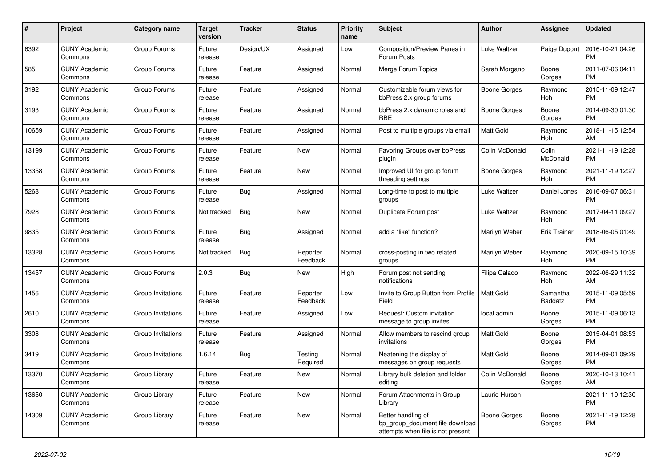| #     | <b>Project</b>                  | Category name     | Target<br>version | <b>Tracker</b> | <b>Status</b>        | Priority<br>name | <b>Subject</b>                                                                             | <b>Author</b>    | Assignee            | <b>Updated</b>                |
|-------|---------------------------------|-------------------|-------------------|----------------|----------------------|------------------|--------------------------------------------------------------------------------------------|------------------|---------------------|-------------------------------|
| 6392  | <b>CUNY Academic</b><br>Commons | Group Forums      | Future<br>release | Design/UX      | Assigned             | Low              | Composition/Preview Panes in<br>Forum Posts                                                | Luke Waltzer     | Paige Dupont        | 2016-10-21 04:26<br><b>PM</b> |
| 585   | <b>CUNY Academic</b><br>Commons | Group Forums      | Future<br>release | Feature        | Assigned             | Normal           | Merge Forum Topics                                                                         | Sarah Morgano    | Boone<br>Gorges     | 2011-07-06 04:11<br>PM.       |
| 3192  | <b>CUNY Academic</b><br>Commons | Group Forums      | Future<br>release | Feature        | Assigned             | Normal           | Customizable forum views for<br>bbPress 2.x group forums                                   | Boone Gorges     | Raymond<br>Hoh      | 2015-11-09 12:47<br><b>PM</b> |
| 3193  | <b>CUNY Academic</b><br>Commons | Group Forums      | Future<br>release | Feature        | Assigned             | Normal           | bbPress 2.x dynamic roles and<br><b>RBE</b>                                                | Boone Gorges     | Boone<br>Gorges     | 2014-09-30 01:30<br><b>PM</b> |
| 10659 | <b>CUNY Academic</b><br>Commons | Group Forums      | Future<br>release | Feature        | Assigned             | Normal           | Post to multiple groups via email                                                          | Matt Gold        | Raymond<br>Hoh      | 2018-11-15 12:54<br>AM.       |
| 13199 | <b>CUNY Academic</b><br>Commons | Group Forums      | Future<br>release | Feature        | New                  | Normal           | Favoring Groups over bbPress<br>plugin                                                     | Colin McDonald   | Colin<br>McDonald   | 2021-11-19 12:28<br><b>PM</b> |
| 13358 | <b>CUNY Academic</b><br>Commons | Group Forums      | Future<br>release | Feature        | New                  | Normal           | Improved UI for group forum<br>threading settings                                          | Boone Gorges     | Raymond<br>Hoh      | 2021-11-19 12:27<br><b>PM</b> |
| 5268  | <b>CUNY Academic</b><br>Commons | Group Forums      | Future<br>release | Bug            | Assigned             | Normal           | Long-time to post to multiple<br>groups                                                    | Luke Waltzer     | Daniel Jones        | 2016-09-07 06:31<br>PM.       |
| 7928  | <b>CUNY Academic</b><br>Commons | Group Forums      | Not tracked       | <b>Bug</b>     | New                  | Normal           | Duplicate Forum post                                                                       | Luke Waltzer     | Raymond<br>Hoh      | 2017-04-11 09:27<br><b>PM</b> |
| 9835  | <b>CUNY Academic</b><br>Commons | Group Forums      | Future<br>release | Bug            | Assigned             | Normal           | add a "like" function?                                                                     | Marilyn Weber    | <b>Erik Trainer</b> | 2018-06-05 01:49<br><b>PM</b> |
| 13328 | <b>CUNY Academic</b><br>Commons | Group Forums      | Not tracked       | Bug            | Reporter<br>Feedback | Normal           | cross-posting in two related<br>groups                                                     | Marilyn Weber    | Raymond<br>Hoh      | 2020-09-15 10:39<br><b>PM</b> |
| 13457 | <b>CUNY Academic</b><br>Commons | Group Forums      | 2.0.3             | <b>Bug</b>     | New                  | High             | Forum post not sending<br>notifications                                                    | Filipa Calado    | Raymond<br>Hoh      | 2022-06-29 11:32<br><b>AM</b> |
| 1456  | <b>CUNY Academic</b><br>Commons | Group Invitations | Future<br>release | Feature        | Reporter<br>Feedback | Low              | Invite to Group Button from Profile<br>Field                                               | <b>Matt Gold</b> | Samantha<br>Raddatz | 2015-11-09 05:59<br><b>PM</b> |
| 2610  | <b>CUNY Academic</b><br>Commons | Group Invitations | Future<br>release | Feature        | Assigned             | Low              | Request: Custom invitation<br>message to group invites                                     | local admin      | Boone<br>Gorges     | 2015-11-09 06:13<br>PM.       |
| 3308  | <b>CUNY Academic</b><br>Commons | Group Invitations | Future<br>release | Feature        | Assigned             | Normal           | Allow members to rescind group<br>invitations                                              | Matt Gold        | Boone<br>Gorges     | 2015-04-01 08:53<br><b>PM</b> |
| 3419  | <b>CUNY Academic</b><br>Commons | Group Invitations | 1.6.14            | <b>Bug</b>     | Testing<br>Required  | Normal           | Neatening the display of<br>messages on group requests                                     | Matt Gold        | Boone<br>Gorges     | 2014-09-01 09:29<br><b>PM</b> |
| 13370 | <b>CUNY Academic</b><br>Commons | Group Library     | Future<br>release | Feature        | <b>New</b>           | Normal           | Library bulk deletion and folder<br>editing                                                | Colin McDonald   | Boone<br>Gorges     | 2020-10-13 10:41<br>AM        |
| 13650 | <b>CUNY Academic</b><br>Commons | Group Library     | Future<br>release | Feature        | <b>New</b>           | Normal           | Forum Attachments in Group<br>Library                                                      | Laurie Hurson    |                     | 2021-11-19 12:30<br><b>PM</b> |
| 14309 | <b>CUNY Academic</b><br>Commons | Group Library     | Future<br>release | Feature        | New                  | Normal           | Better handling of<br>bp_group_document file download<br>attempts when file is not present | Boone Gorges     | Boone<br>Gorges     | 2021-11-19 12:28<br><b>PM</b> |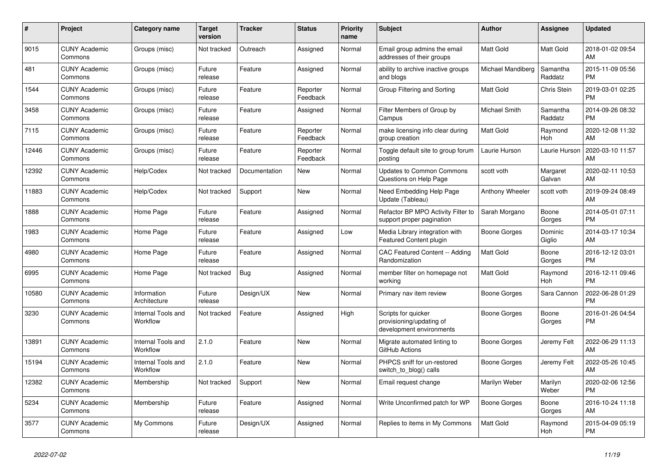| $\#$  | Project                         | <b>Category name</b>           | <b>Target</b><br>version | <b>Tracker</b> | <b>Status</b>        | <b>Priority</b><br>name | <b>Subject</b>                                                              | <b>Author</b>     | Assignee            | <b>Updated</b>                |
|-------|---------------------------------|--------------------------------|--------------------------|----------------|----------------------|-------------------------|-----------------------------------------------------------------------------|-------------------|---------------------|-------------------------------|
| 9015  | <b>CUNY Academic</b><br>Commons | Groups (misc)                  | Not tracked              | Outreach       | Assigned             | Normal                  | Email group admins the email<br>addresses of their groups                   | <b>Matt Gold</b>  | <b>Matt Gold</b>    | 2018-01-02 09:54<br>AM        |
| 481   | <b>CUNY Academic</b><br>Commons | Groups (misc)                  | Future<br>release        | Feature        | Assigned             | Normal                  | ability to archive inactive groups<br>and blogs                             | Michael Mandiberg | Samantha<br>Raddatz | 2015-11-09 05:56<br><b>PM</b> |
| 1544  | <b>CUNY Academic</b><br>Commons | Groups (misc)                  | Future<br>release        | Feature        | Reporter<br>Feedback | Normal                  | Group Filtering and Sorting                                                 | Matt Gold         | <b>Chris Stein</b>  | 2019-03-01 02:25<br><b>PM</b> |
| 3458  | <b>CUNY Academic</b><br>Commons | Groups (misc)                  | Future<br>release        | Feature        | Assigned             | Normal                  | Filter Members of Group by<br>Campus                                        | Michael Smith     | Samantha<br>Raddatz | 2014-09-26 08:32<br><b>PM</b> |
| 7115  | <b>CUNY Academic</b><br>Commons | Groups (misc)                  | Future<br>release        | Feature        | Reporter<br>Feedback | Normal                  | make licensing info clear during<br>group creation                          | <b>Matt Gold</b>  | Raymond<br>Hoh      | 2020-12-08 11:32<br>AM        |
| 12446 | <b>CUNY Academic</b><br>Commons | Groups (misc)                  | Future<br>release        | Feature        | Reporter<br>Feedback | Normal                  | Toggle default site to group forum<br>posting                               | Laurie Hurson     | Laurie Hurson       | 2020-03-10 11:57<br>AM        |
| 12392 | <b>CUNY Academic</b><br>Commons | Help/Codex                     | Not tracked              | Documentation  | <b>New</b>           | Normal                  | <b>Updates to Common Commons</b><br>Questions on Help Page                  | scott voth        | Margaret<br>Galvan  | 2020-02-11 10:53<br>AM        |
| 11883 | <b>CUNY Academic</b><br>Commons | Help/Codex                     | Not tracked              | Support        | <b>New</b>           | Normal                  | Need Embedding Help Page<br>Update (Tableau)                                | Anthony Wheeler   | scott voth          | 2019-09-24 08:49<br>AM        |
| 1888  | <b>CUNY Academic</b><br>Commons | Home Page                      | Future<br>release        | Feature        | Assigned             | Normal                  | Refactor BP MPO Activity Filter to<br>support proper pagination             | Sarah Morgano     | Boone<br>Gorges     | 2014-05-01 07:11<br><b>PM</b> |
| 1983  | <b>CUNY Academic</b><br>Commons | Home Page                      | Future<br>release        | Feature        | Assigned             | Low                     | Media Library integration with<br>Featured Content plugin                   | Boone Gorges      | Dominic<br>Giglio   | 2014-03-17 10:34<br>AM        |
| 4980  | <b>CUNY Academic</b><br>Commons | Home Page                      | Future<br>release        | Feature        | Assigned             | Normal                  | CAC Featured Content -- Adding<br>Randomization                             | Matt Gold         | Boone<br>Gorges     | 2016-12-12 03:01<br><b>PM</b> |
| 6995  | <b>CUNY Academic</b><br>Commons | Home Page                      | Not tracked              | Bug            | Assigned             | Normal                  | member filter on homepage not<br>workina                                    | Matt Gold         | Raymond<br>Hoh      | 2016-12-11 09:46<br><b>PM</b> |
| 10580 | <b>CUNY Academic</b><br>Commons | Information<br>Architecture    | Future<br>release        | Design/UX      | New                  | Normal                  | Primary nav item review                                                     | Boone Gorges      | Sara Cannon         | 2022-06-28 01:29<br><b>PM</b> |
| 3230  | <b>CUNY Academic</b><br>Commons | Internal Tools and<br>Workflow | Not tracked              | Feature        | Assigned             | High                    | Scripts for quicker<br>provisioning/updating of<br>development environments | Boone Gorges      | Boone<br>Gorges     | 2016-01-26 04:54<br><b>PM</b> |
| 13891 | <b>CUNY Academic</b><br>Commons | Internal Tools and<br>Workflow | 2.1.0                    | Feature        | <b>New</b>           | Normal                  | Migrate automated linting to<br>GitHub Actions                              | Boone Gorges      | Jeremy Felt         | 2022-06-29 11:13<br>AM        |
| 15194 | <b>CUNY Academic</b><br>Commons | Internal Tools and<br>Workflow | 2.1.0                    | Feature        | <b>New</b>           | Normal                  | PHPCS sniff for un-restored<br>switch_to_blog() calls                       | Boone Gorges      | Jeremy Felt         | 2022-05-26 10:45<br>AM        |
| 12382 | <b>CUNY Academic</b><br>Commons | Membership                     | Not tracked              | Support        | <b>New</b>           | Normal                  | Email request change                                                        | Marilyn Weber     | Marilyn<br>Weber    | 2020-02-06 12:56<br><b>PM</b> |
| 5234  | <b>CUNY Academic</b><br>Commons | Membership                     | Future<br>release        | Feature        | Assigned             | Normal                  | Write Unconfirmed patch for WP                                              | Boone Gorges      | Boone<br>Gorges     | 2016-10-24 11:18<br>AM        |
| 3577  | <b>CUNY Academic</b><br>Commons | My Commons                     | Future<br>release        | Design/UX      | Assigned             | Normal                  | Replies to items in My Commons                                              | <b>Matt Gold</b>  | Raymond<br>Hoh      | 2015-04-09 05:19<br><b>PM</b> |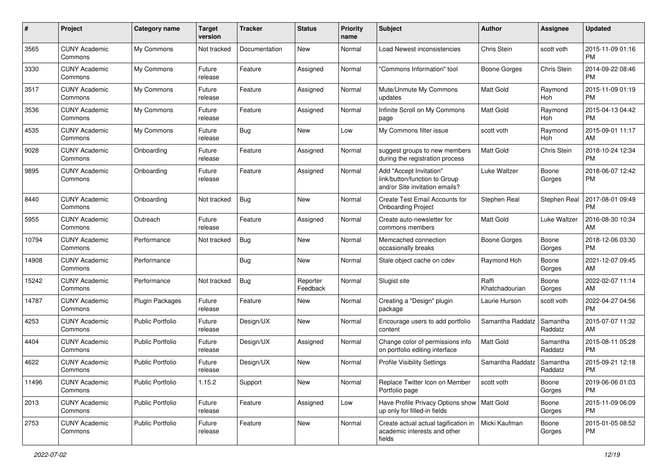| #     | Project                         | <b>Category name</b>    | <b>Target</b><br>version | <b>Tracker</b> | <b>Status</b>        | Priority<br>name | <b>Subject</b>                                                                             | <b>Author</b>           | <b>Assignee</b>     | <b>Updated</b>                |
|-------|---------------------------------|-------------------------|--------------------------|----------------|----------------------|------------------|--------------------------------------------------------------------------------------------|-------------------------|---------------------|-------------------------------|
| 3565  | <b>CUNY Academic</b><br>Commons | My Commons              | Not tracked              | Documentation  | <b>New</b>           | Normal           | Load Newest inconsistencies                                                                | Chris Stein             | scott voth          | 2015-11-09 01:16<br><b>PM</b> |
| 3330  | <b>CUNY Academic</b><br>Commons | My Commons              | Future<br>release        | Feature        | Assigned             | Normal           | "Commons Information" tool                                                                 | <b>Boone Gorges</b>     | Chris Stein         | 2014-09-22 08:46<br><b>PM</b> |
| 3517  | <b>CUNY Academic</b><br>Commons | My Commons              | Future<br>release        | Feature        | Assigned             | Normal           | Mute/Unmute My Commons<br>updates                                                          | <b>Matt Gold</b>        | Raymond<br>Hoh      | 2015-11-09 01:19<br><b>PM</b> |
| 3536  | <b>CUNY Academic</b><br>Commons | My Commons              | Future<br>release        | Feature        | Assigned             | Normal           | Infinite Scroll on My Commons<br>page                                                      | <b>Matt Gold</b>        | Raymond<br>Hoh      | 2015-04-13 04:42<br><b>PM</b> |
| 4535  | <b>CUNY Academic</b><br>Commons | My Commons              | Future<br>release        | Bug            | <b>New</b>           | Low              | My Commons filter issue                                                                    | scott voth              | Raymond<br>Hoh      | 2015-09-01 11:17<br>AM        |
| 9028  | <b>CUNY Academic</b><br>Commons | Onboarding              | Future<br>release        | Feature        | Assigned             | Normal           | suggest groups to new members<br>during the registration process                           | Matt Gold               | Chris Stein         | 2018-10-24 12:34<br><b>PM</b> |
| 9895  | <b>CUNY Academic</b><br>Commons | Onboarding              | Future<br>release        | Feature        | Assigned             | Normal           | Add "Accept Invitation"<br>link/button/function to Group<br>and/or Site invitation emails? | Luke Waltzer            | Boone<br>Gorges     | 2018-06-07 12:42<br><b>PM</b> |
| 8440  | <b>CUNY Academic</b><br>Commons | Onboarding              | Not tracked              | Bug            | <b>New</b>           | Normal           | Create Test Email Accounts for<br><b>Onboarding Project</b>                                | Stephen Real            | Stephen Real        | 2017-08-01 09:49<br><b>PM</b> |
| 5955  | <b>CUNY Academic</b><br>Commons | Outreach                | Future<br>release        | Feature        | Assigned             | Normal           | Create auto-newsletter for<br>commons members                                              | Matt Gold               | Luke Waltzer        | 2016-08-30 10:34<br>AM        |
| 10794 | <b>CUNY Academic</b><br>Commons | Performance             | Not tracked              | <b>Bug</b>     | New                  | Normal           | Memcached connection<br>occasionally breaks                                                | Boone Gorges            | Boone<br>Gorges     | 2018-12-06 03:30<br><b>PM</b> |
| 14908 | <b>CUNY Academic</b><br>Commons | Performance             |                          | <b>Bug</b>     | New                  | Normal           | Stale object cache on cdev                                                                 | Raymond Hoh             | Boone<br>Gorges     | 2021-12-07 09:45<br>AM        |
| 15242 | <b>CUNY Academic</b><br>Commons | Performance             | Not tracked              | Bug            | Reporter<br>Feedback | Normal           | Slugist site                                                                               | Raffi<br>Khatchadourian | Boone<br>Gorges     | 2022-02-07 11:14<br>AM        |
| 14787 | <b>CUNY Academic</b><br>Commons | Plugin Packages         | Future<br>release        | Feature        | New                  | Normal           | Creating a "Design" plugin<br>package                                                      | Laurie Hurson           | scott voth          | 2022-04-27 04:56<br><b>PM</b> |
| 4253  | <b>CUNY Academic</b><br>Commons | <b>Public Portfolio</b> | Future<br>release        | Design/UX      | New                  | Normal           | Encourage users to add portfolio<br>content                                                | Samantha Raddatz        | Samantha<br>Raddatz | 2015-07-07 11:32<br>AM        |
| 4404  | <b>CUNY Academic</b><br>Commons | <b>Public Portfolio</b> | Future<br>release        | Design/UX      | Assigned             | Normal           | Change color of permissions info<br>on portfolio editing interface                         | <b>Matt Gold</b>        | Samantha<br>Raddatz | 2015-08-11 05:28<br><b>PM</b> |
| 4622  | <b>CUNY Academic</b><br>Commons | <b>Public Portfolio</b> | Future<br>release        | Design/UX      | New                  | Normal           | <b>Profile Visibility Settings</b>                                                         | Samantha Raddatz        | Samantha<br>Raddatz | 2015-09-21 12:18<br><b>PM</b> |
| 11496 | <b>CUNY Academic</b><br>Commons | Public Portfolio        | 1.15.2                   | Support        | New                  | Normal           | Replace Twitter Icon on Member<br>Portfolio page                                           | scott voth              | Boone<br>Gorges     | 2019-06-06 01:03<br><b>PM</b> |
| 2013  | <b>CUNY Academic</b><br>Commons | Public Portfolio        | Future<br>release        | Feature        | Assigned             | Low              | Have Profile Privacy Options show   Matt Gold<br>up only for filled-in fields              |                         | Boone<br>Gorges     | 2015-11-09 06:09<br><b>PM</b> |
| 2753  | <b>CUNY Academic</b><br>Commons | <b>Public Portfolio</b> | Future<br>release        | Feature        | New                  | Normal           | Create actual actual tagification in<br>academic interests and other<br>fields             | Micki Kaufman           | Boone<br>Gorges     | 2015-01-05 08:52<br><b>PM</b> |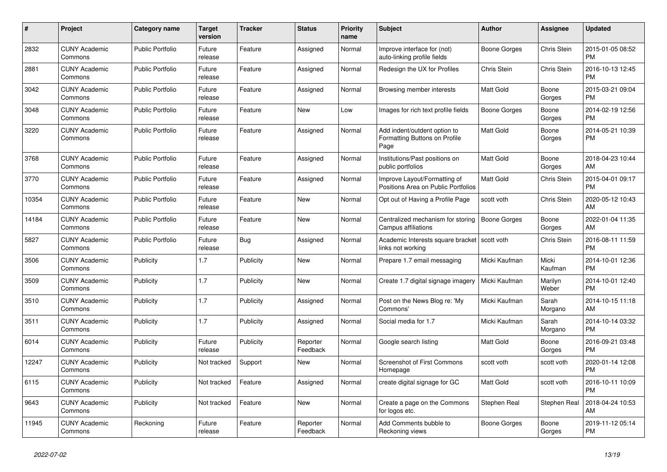| #     | <b>Project</b>                  | Category name           | Target<br>version | <b>Tracker</b> | <b>Status</b>        | <b>Priority</b><br>name | <b>Subject</b>                                                        | <b>Author</b>       | Assignee           | <b>Updated</b>                |
|-------|---------------------------------|-------------------------|-------------------|----------------|----------------------|-------------------------|-----------------------------------------------------------------------|---------------------|--------------------|-------------------------------|
| 2832  | <b>CUNY Academic</b><br>Commons | <b>Public Portfolio</b> | Future<br>release | Feature        | Assigned             | Normal                  | Improve interface for (not)<br>auto-linking profile fields            | Boone Gorges        | Chris Stein        | 2015-01-05 08:52<br><b>PM</b> |
| 2881  | <b>CUNY Academic</b><br>Commons | <b>Public Portfolio</b> | Future<br>release | Feature        | Assigned             | Normal                  | Redesign the UX for Profiles                                          | Chris Stein         | Chris Stein        | 2016-10-13 12:45<br><b>PM</b> |
| 3042  | <b>CUNY Academic</b><br>Commons | <b>Public Portfolio</b> | Future<br>release | Feature        | Assigned             | Normal                  | Browsing member interests                                             | Matt Gold           | Boone<br>Gorges    | 2015-03-21 09:04<br><b>PM</b> |
| 3048  | <b>CUNY Academic</b><br>Commons | <b>Public Portfolio</b> | Future<br>release | Feature        | <b>New</b>           | Low                     | Images for rich text profile fields                                   | <b>Boone Gorges</b> | Boone<br>Gorges    | 2014-02-19 12:56<br><b>PM</b> |
| 3220  | <b>CUNY Academic</b><br>Commons | <b>Public Portfolio</b> | Future<br>release | Feature        | Assigned             | Normal                  | Add indent/outdent option to<br>Formatting Buttons on Profile<br>Page | <b>Matt Gold</b>    | Boone<br>Gorges    | 2014-05-21 10:39<br><b>PM</b> |
| 3768  | <b>CUNY Academic</b><br>Commons | <b>Public Portfolio</b> | Future<br>release | Feature        | Assigned             | Normal                  | Institutions/Past positions on<br>public portfolios                   | <b>Matt Gold</b>    | Boone<br>Gorges    | 2018-04-23 10:44<br>AM        |
| 3770  | <b>CUNY Academic</b><br>Commons | <b>Public Portfolio</b> | Future<br>release | Feature        | Assigned             | Normal                  | Improve Layout/Formatting of<br>Positions Area on Public Portfolios   | Matt Gold           | Chris Stein        | 2015-04-01 09:17<br><b>PM</b> |
| 10354 | <b>CUNY Academic</b><br>Commons | <b>Public Portfolio</b> | Future<br>release | Feature        | New                  | Normal                  | Opt out of Having a Profile Page                                      | scott voth          | Chris Stein        | 2020-05-12 10:43<br><b>AM</b> |
| 14184 | <b>CUNY Academic</b><br>Commons | <b>Public Portfolio</b> | Future<br>release | Feature        | New                  | Normal                  | Centralized mechanism for storing<br>Campus affiliations              | Boone Gorges        | Boone<br>Gorges    | 2022-01-04 11:35<br>AM        |
| 5827  | <b>CUNY Academic</b><br>Commons | <b>Public Portfolio</b> | Future<br>release | Bug            | Assigned             | Normal                  | Academic Interests square bracket<br>links not working                | scott voth          | <b>Chris Stein</b> | 2016-08-11 11:59<br><b>PM</b> |
| 3506  | <b>CUNY Academic</b><br>Commons | Publicity               | 1.7               | Publicity      | New                  | Normal                  | Prepare 1.7 email messaging                                           | Micki Kaufman       | Micki<br>Kaufman   | 2014-10-01 12:36<br><b>PM</b> |
| 3509  | <b>CUNY Academic</b><br>Commons | Publicity               | 1.7               | Publicity      | New                  | Normal                  | Create 1.7 digital signage imagery                                    | Micki Kaufman       | Marilyn<br>Weber   | 2014-10-01 12:40<br>PM        |
| 3510  | <b>CUNY Academic</b><br>Commons | Publicity               | 1.7               | Publicity      | Assigned             | Normal                  | Post on the News Blog re: 'My<br>Commons'                             | Micki Kaufman       | Sarah<br>Morgano   | 2014-10-15 11:18<br>AM        |
| 3511  | <b>CUNY Academic</b><br>Commons | Publicity               | 1.7               | Publicity      | Assigned             | Normal                  | Social media for 1.7                                                  | Micki Kaufman       | Sarah<br>Morgano   | 2014-10-14 03:32<br><b>PM</b> |
| 6014  | <b>CUNY Academic</b><br>Commons | Publicity               | Future<br>release | Publicity      | Reporter<br>Feedback | Normal                  | Google search listing                                                 | <b>Matt Gold</b>    | Boone<br>Gorges    | 2016-09-21 03:48<br><b>PM</b> |
| 12247 | <b>CUNY Academic</b><br>Commons | Publicity               | Not tracked       | Support        | New                  | Normal                  | <b>Screenshot of First Commons</b><br>Homepage                        | scott voth          | scott voth         | 2020-01-14 12:08<br><b>PM</b> |
| 6115  | <b>CUNY Academic</b><br>Commons | Publicity               | Not tracked       | Feature        | Assigned             | Normal                  | create digital signage for GC                                         | Matt Gold           | scott voth         | 2016-10-11 10:09<br><b>PM</b> |
| 9643  | <b>CUNY Academic</b><br>Commons | Publicity               | Not tracked       | Feature        | <b>New</b>           | Normal                  | Create a page on the Commons<br>for logos etc.                        | Stephen Real        | Stephen Real       | 2018-04-24 10:53<br>AM        |
| 11945 | <b>CUNY Academic</b><br>Commons | Reckoning               | Future<br>release | Feature        | Reporter<br>Feedback | Normal                  | Add Comments bubble to<br>Reckoning views                             | Boone Gorges        | Boone<br>Gorges    | 2019-11-12 05:14<br>PM        |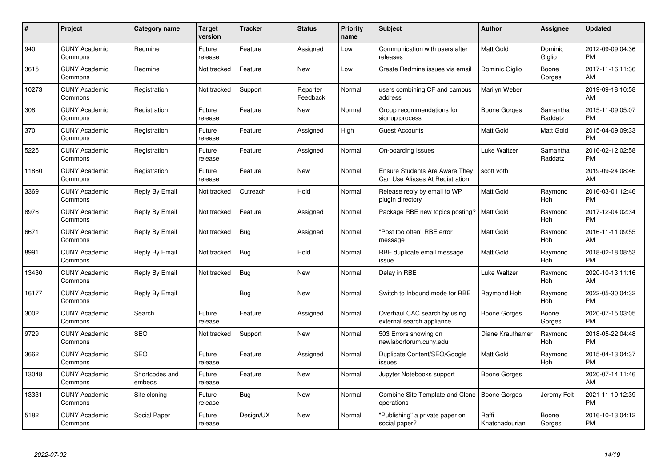| #     | Project                         | <b>Category name</b>     | <b>Target</b><br>version | <b>Tracker</b> | <b>Status</b>        | Priority<br>name | <b>Subject</b>                                                    | <b>Author</b>           | <b>Assignee</b>     | <b>Updated</b>                |
|-------|---------------------------------|--------------------------|--------------------------|----------------|----------------------|------------------|-------------------------------------------------------------------|-------------------------|---------------------|-------------------------------|
| 940   | <b>CUNY Academic</b><br>Commons | Redmine                  | Future<br>release        | Feature        | Assigned             | Low              | Communication with users after<br>releases                        | <b>Matt Gold</b>        | Dominic<br>Giglio   | 2012-09-09 04:36<br><b>PM</b> |
| 3615  | <b>CUNY Academic</b><br>Commons | Redmine                  | Not tracked              | Feature        | New                  | Low              | Create Redmine issues via email                                   | Dominic Giglio          | Boone<br>Gorges     | 2017-11-16 11:36<br>AM        |
| 10273 | <b>CUNY Academic</b><br>Commons | Registration             | Not tracked              | Support        | Reporter<br>Feedback | Normal           | users combining CF and campus<br>address                          | Marilyn Weber           |                     | 2019-09-18 10:58<br>AM        |
| 308   | <b>CUNY Academic</b><br>Commons | Registration             | Future<br>release        | Feature        | New                  | Normal           | Group recommendations for<br>signup process                       | Boone Gorges            | Samantha<br>Raddatz | 2015-11-09 05:07<br><b>PM</b> |
| 370   | <b>CUNY Academic</b><br>Commons | Registration             | Future<br>release        | Feature        | Assigned             | High             | <b>Guest Accounts</b>                                             | Matt Gold               | Matt Gold           | 2015-04-09 09:33<br><b>PM</b> |
| 5225  | <b>CUNY Academic</b><br>Commons | Registration             | Future<br>release        | Feature        | Assigned             | Normal           | On-boarding Issues                                                | Luke Waltzer            | Samantha<br>Raddatz | 2016-02-12 02:58<br><b>PM</b> |
| 11860 | <b>CUNY Academic</b><br>Commons | Registration             | Future<br>release        | Feature        | New                  | Normal           | Ensure Students Are Aware They<br>Can Use Aliases At Registration | scott voth              |                     | 2019-09-24 08:46<br>AM        |
| 3369  | <b>CUNY Academic</b><br>Commons | Reply By Email           | Not tracked              | Outreach       | Hold                 | Normal           | Release reply by email to WP<br>plugin directory                  | Matt Gold               | Raymond<br>Hoh      | 2016-03-01 12:46<br><b>PM</b> |
| 8976  | <b>CUNY Academic</b><br>Commons | Reply By Email           | Not tracked              | Feature        | Assigned             | Normal           | Package RBE new topics posting?                                   | Matt Gold               | Raymond<br>Hoh      | 2017-12-04 02:34<br><b>PM</b> |
| 6671  | <b>CUNY Academic</b><br>Commons | Reply By Email           | Not tracked              | Bug            | Assigned             | Normal           | "Post too often" RBE error<br>message                             | <b>Matt Gold</b>        | Raymond<br>Hoh      | 2016-11-11 09:55<br>AM        |
| 8991  | <b>CUNY Academic</b><br>Commons | Reply By Email           | Not tracked              | <b>Bug</b>     | Hold                 | Normal           | RBE duplicate email message<br>issue                              | Matt Gold               | Raymond<br>Hoh      | 2018-02-18 08:53<br><b>PM</b> |
| 13430 | <b>CUNY Academic</b><br>Commons | Reply By Email           | Not tracked              | <b>Bug</b>     | New                  | Normal           | Delay in RBE                                                      | Luke Waltzer            | Raymond<br>Hoh      | 2020-10-13 11:16<br>AM        |
| 16177 | <b>CUNY Academic</b><br>Commons | Reply By Email           |                          | Bug            | New                  | Normal           | Switch to Inbound mode for RBE                                    | Raymond Hoh             | Raymond<br>Hoh      | 2022-05-30 04:32<br><b>PM</b> |
| 3002  | <b>CUNY Academic</b><br>Commons | Search                   | Future<br>release        | Feature        | Assigned             | Normal           | Overhaul CAC search by using<br>external search appliance         | <b>Boone Gorges</b>     | Boone<br>Gorges     | 2020-07-15 03:05<br><b>PM</b> |
| 9729  | <b>CUNY Academic</b><br>Commons | <b>SEO</b>               | Not tracked              | Support        | New                  | Normal           | 503 Errors showing on<br>newlaborforum.cuny.edu                   | Diane Krauthamer        | Raymond<br>Hoh      | 2018-05-22 04:48<br><b>PM</b> |
| 3662  | <b>CUNY Academic</b><br>Commons | <b>SEO</b>               | Future<br>release        | Feature        | Assigned             | Normal           | Duplicate Content/SEO/Google<br>issues                            | Matt Gold               | Raymond<br>Hoh      | 2015-04-13 04:37<br><b>PM</b> |
| 13048 | <b>CUNY Academic</b><br>Commons | Shortcodes and<br>embeds | Future<br>release        | Feature        | New                  | Normal           | Jupyter Notebooks support                                         | Boone Gorges            |                     | 2020-07-14 11:46<br>AM        |
| 13331 | <b>CUNY Academic</b><br>Commons | Site cloning             | Future<br>release        | Bug            | <b>New</b>           | Normal           | Combine Site Template and Clone<br>operations                     | Boone Gorges            | Jeremy Felt         | 2021-11-19 12:39<br><b>PM</b> |
| 5182  | <b>CUNY Academic</b><br>Commons | Social Paper             | Future<br>release        | Design/UX      | <b>New</b>           | Normal           | "Publishing" a private paper on<br>social paper?                  | Raffi<br>Khatchadourian | Boone<br>Gorges     | 2016-10-13 04:12<br><b>PM</b> |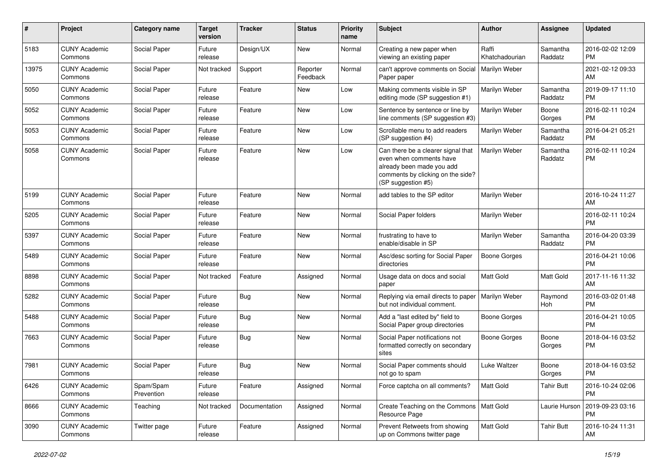| #     | Project                         | <b>Category name</b>    | <b>Target</b><br>version | <b>Tracker</b> | <b>Status</b>        | Priority<br>name | <b>Subject</b>                                                                                                                                        | Author                  | <b>Assignee</b>     | <b>Updated</b>                |
|-------|---------------------------------|-------------------------|--------------------------|----------------|----------------------|------------------|-------------------------------------------------------------------------------------------------------------------------------------------------------|-------------------------|---------------------|-------------------------------|
| 5183  | <b>CUNY Academic</b><br>Commons | Social Paper            | Future<br>release        | Design/UX      | <b>New</b>           | Normal           | Creating a new paper when<br>viewing an existing paper                                                                                                | Raffi<br>Khatchadourian | Samantha<br>Raddatz | 2016-02-02 12:09<br><b>PM</b> |
| 13975 | <b>CUNY Academic</b><br>Commons | Social Paper            | Not tracked              | Support        | Reporter<br>Feedback | Normal           | can't approve comments on Social<br>Paper paper                                                                                                       | Marilyn Weber           |                     | 2021-02-12 09:33<br>AM        |
| 5050  | <b>CUNY Academic</b><br>Commons | Social Paper            | Future<br>release        | Feature        | New                  | Low              | Making comments visible in SP<br>editing mode (SP suggestion #1)                                                                                      | Marilyn Weber           | Samantha<br>Raddatz | 2019-09-17 11:10<br><b>PM</b> |
| 5052  | <b>CUNY Academic</b><br>Commons | Social Paper            | Future<br>release        | Feature        | <b>New</b>           | Low              | Sentence by sentence or line by<br>line comments (SP suggestion #3)                                                                                   | Marilyn Weber           | Boone<br>Gorges     | 2016-02-11 10:24<br><b>PM</b> |
| 5053  | <b>CUNY Academic</b><br>Commons | Social Paper            | Future<br>release        | Feature        | <b>New</b>           | Low              | Scrollable menu to add readers<br>(SP suggestion #4)                                                                                                  | Marilyn Weber           | Samantha<br>Raddatz | 2016-04-21 05:21<br><b>PM</b> |
| 5058  | <b>CUNY Academic</b><br>Commons | Social Paper            | Future<br>release        | Feature        | New                  | Low              | Can there be a clearer signal that<br>even when comments have<br>already been made you add<br>comments by clicking on the side?<br>(SP suggestion #5) | Marilyn Weber           | Samantha<br>Raddatz | 2016-02-11 10:24<br><b>PM</b> |
| 5199  | <b>CUNY Academic</b><br>Commons | Social Paper            | Future<br>release        | Feature        | New                  | Normal           | add tables to the SP editor                                                                                                                           | Marilyn Weber           |                     | 2016-10-24 11:27<br>AM        |
| 5205  | <b>CUNY Academic</b><br>Commons | Social Paper            | Future<br>release        | Feature        | <b>New</b>           | Normal           | Social Paper folders                                                                                                                                  | Marilyn Weber           |                     | 2016-02-11 10:24<br><b>PM</b> |
| 5397  | <b>CUNY Academic</b><br>Commons | Social Paper            | Future<br>release        | Feature        | New                  | Normal           | frustrating to have to<br>enable/disable in SP                                                                                                        | Marilyn Weber           | Samantha<br>Raddatz | 2016-04-20 03:39<br><b>PM</b> |
| 5489  | <b>CUNY Academic</b><br>Commons | Social Paper            | Future<br>release        | Feature        | <b>New</b>           | Normal           | Asc/desc sorting for Social Paper<br>directories                                                                                                      | <b>Boone Gorges</b>     |                     | 2016-04-21 10:06<br><b>PM</b> |
| 8898  | <b>CUNY Academic</b><br>Commons | Social Paper            | Not tracked              | Feature        | Assigned             | Normal           | Usage data on docs and social<br>paper                                                                                                                | Matt Gold               | Matt Gold           | 2017-11-16 11:32<br>AM        |
| 5282  | <b>CUNY Academic</b><br>Commons | Social Paper            | Future<br>release        | Bug            | <b>New</b>           | Normal           | Replying via email directs to paper<br>but not individual comment.                                                                                    | Marilyn Weber           | Raymond<br>Hoh      | 2016-03-02 01:48<br><b>PM</b> |
| 5488  | <b>CUNY Academic</b><br>Commons | Social Paper            | Future<br>release        | Bug            | New                  | Normal           | Add a "last edited by" field to<br>Social Paper group directories                                                                                     | <b>Boone Gorges</b>     |                     | 2016-04-21 10:05<br><b>PM</b> |
| 7663  | <b>CUNY Academic</b><br>Commons | Social Paper            | Future<br>release        | Bug            | New                  | Normal           | Social Paper notifications not<br>formatted correctly on secondary<br>sites                                                                           | Boone Gorges            | Boone<br>Gorges     | 2018-04-16 03:52<br><b>PM</b> |
| 7981  | <b>CUNY Academic</b><br>Commons | Social Paper            | Future<br>release        | Bug            | New                  | Normal           | Social Paper comments should<br>not go to spam                                                                                                        | Luke Waltzer            | Boone<br>Gorges     | 2018-04-16 03:52<br><b>PM</b> |
| 6426  | <b>CUNY Academic</b><br>Commons | Spam/Spam<br>Prevention | Future<br>release        | Feature        | Assigned             | Normal           | Force captcha on all comments?                                                                                                                        | <b>Matt Gold</b>        | <b>Tahir Butt</b>   | 2016-10-24 02:06<br><b>PM</b> |
| 8666  | <b>CUNY Academic</b><br>Commons | Teaching                | Not tracked              | Documentation  | Assigned             | Normal           | Create Teaching on the Commons   Matt Gold<br>Resource Page                                                                                           |                         | Laurie Hurson       | 2019-09-23 03:16<br><b>PM</b> |
| 3090  | <b>CUNY Academic</b><br>Commons | Twitter page            | Future<br>release        | Feature        | Assigned             | Normal           | Prevent Retweets from showing<br>up on Commons twitter page                                                                                           | Matt Gold               | <b>Tahir Butt</b>   | 2016-10-24 11:31<br>AM        |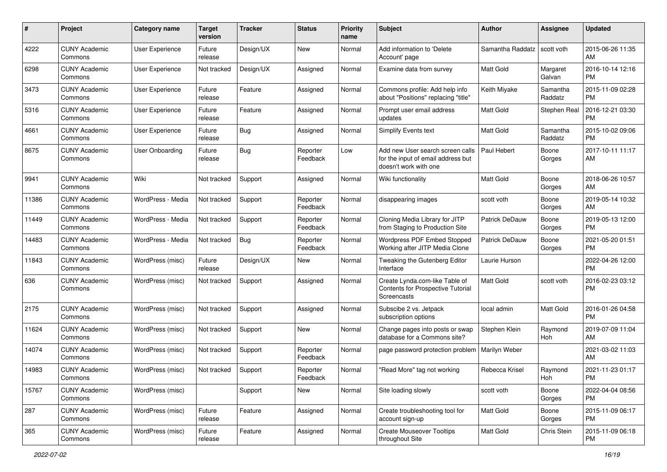| #     | Project                         | <b>Category name</b> | <b>Target</b><br>version | <b>Tracker</b> | <b>Status</b>        | Priority<br>name | <b>Subject</b>                                                                                  | Author                | <b>Assignee</b>     | <b>Updated</b>                |
|-------|---------------------------------|----------------------|--------------------------|----------------|----------------------|------------------|-------------------------------------------------------------------------------------------------|-----------------------|---------------------|-------------------------------|
| 4222  | <b>CUNY Academic</b><br>Commons | User Experience      | Future<br>release        | Design/UX      | New                  | Normal           | Add information to 'Delete<br>Account' page                                                     | Samantha Raddatz      | scott voth          | 2015-06-26 11:35<br>AM.       |
| 6298  | <b>CUNY Academic</b><br>Commons | User Experience      | Not tracked              | Design/UX      | Assigned             | Normal           | Examine data from survey                                                                        | <b>Matt Gold</b>      | Margaret<br>Galvan  | 2016-10-14 12:16<br><b>PM</b> |
| 3473  | <b>CUNY Academic</b><br>Commons | User Experience      | Future<br>release        | Feature        | Assigned             | Normal           | Commons profile: Add help info<br>about "Positions" replacing "title"                           | Keith Miyake          | Samantha<br>Raddatz | 2015-11-09 02:28<br><b>PM</b> |
| 5316  | <b>CUNY Academic</b><br>Commons | User Experience      | Future<br>release        | Feature        | Assigned             | Normal           | Prompt user email address<br>updates                                                            | <b>Matt Gold</b>      | Stephen Real        | 2016-12-21 03:30<br><b>PM</b> |
| 4661  | <b>CUNY Academic</b><br>Commons | User Experience      | Future<br>release        | Bug            | Assigned             | Normal           | Simplify Events text                                                                            | <b>Matt Gold</b>      | Samantha<br>Raddatz | 2015-10-02 09:06<br><b>PM</b> |
| 8675  | <b>CUNY Academic</b><br>Commons | User Onboarding      | Future<br>release        | Bug            | Reporter<br>Feedback | Low              | Add new User search screen calls<br>for the input of email address but<br>doesn't work with one | Paul Hebert           | Boone<br>Gorges     | 2017-10-11 11:17<br>AM        |
| 9941  | <b>CUNY Academic</b><br>Commons | Wiki                 | Not tracked              | Support        | Assigned             | Normal           | Wiki functionality                                                                              | Matt Gold             | Boone<br>Gorges     | 2018-06-26 10:57<br>AM.       |
| 11386 | <b>CUNY Academic</b><br>Commons | WordPress - Media    | Not tracked              | Support        | Reporter<br>Feedback | Normal           | disappearing images                                                                             | scott voth            | Boone<br>Gorges     | 2019-05-14 10:32<br>AM.       |
| 11449 | <b>CUNY Academic</b><br>Commons | WordPress - Media    | Not tracked              | Support        | Reporter<br>Feedback | Normal           | Cloning Media Library for JITP<br>from Staging to Production Site                               | Patrick DeDauw        | Boone<br>Gorges     | 2019-05-13 12:00<br>PM.       |
| 14483 | <b>CUNY Academic</b><br>Commons | WordPress - Media    | Not tracked              | Bug            | Reporter<br>Feedback | Normal           | Wordpress PDF Embed Stopped<br>Working after JITP Media Clone                                   | <b>Patrick DeDauw</b> | Boone<br>Gorges     | 2021-05-20 01:51<br><b>PM</b> |
| 11843 | <b>CUNY Academic</b><br>Commons | WordPress (misc)     | Future<br>release        | Design/UX      | New                  | Normal           | Tweaking the Gutenberg Editor<br>Interface                                                      | Laurie Hurson         |                     | 2022-04-26 12:00<br><b>PM</b> |
| 636   | <b>CUNY Academic</b><br>Commons | WordPress (misc)     | Not tracked              | Support        | Assigned             | Normal           | Create Lynda.com-like Table of<br>Contents for Prospective Tutorial<br>Screencasts              | Matt Gold             | scott voth          | 2016-02-23 03:12<br>PM.       |
| 2175  | <b>CUNY Academic</b><br>Commons | WordPress (misc)     | Not tracked              | Support        | Assigned             | Normal           | Subscibe 2 vs. Jetpack<br>subscription options                                                  | local admin           | Matt Gold           | 2016-01-26 04:58<br>PM.       |
| 11624 | <b>CUNY Academic</b><br>Commons | WordPress (misc)     | Not tracked              | Support        | New                  | Normal           | Change pages into posts or swap<br>database for a Commons site?                                 | Stephen Klein         | Raymond<br>Hoh      | 2019-07-09 11:04<br>AM        |
| 14074 | <b>CUNY Academic</b><br>Commons | WordPress (misc)     | Not tracked              | Support        | Reporter<br>Feedback | Normal           | page password protection problem   Marilyn Weber                                                |                       |                     | 2021-03-02 11:03<br>AM        |
| 14983 | <b>CUNY Academic</b><br>Commons | WordPress (misc)     | Not tracked              | Support        | Reporter<br>Feedback | Normal           | "Read More" tag not working                                                                     | Rebecca Krisel        | Raymond<br>Hoh      | 2021-11-23 01:17<br>PM        |
| 15767 | <b>CUNY Academic</b><br>Commons | WordPress (misc)     |                          | Support        | New                  | Normal           | Site loading slowly                                                                             | scott voth            | Boone<br>Gorges     | 2022-04-04 08:56<br>PM.       |
| 287   | <b>CUNY Academic</b><br>Commons | WordPress (misc)     | Future<br>release        | Feature        | Assigned             | Normal           | Create troubleshooting tool for<br>account sign-up                                              | Matt Gold             | Boone<br>Gorges     | 2015-11-09 06:17<br><b>PM</b> |
| 365   | <b>CUNY Academic</b><br>Commons | WordPress (misc)     | Future<br>release        | Feature        | Assigned             | Normal           | <b>Create Mouseover Tooltips</b><br>throughout Site                                             | Matt Gold             | Chris Stein         | 2015-11-09 06:18<br><b>PM</b> |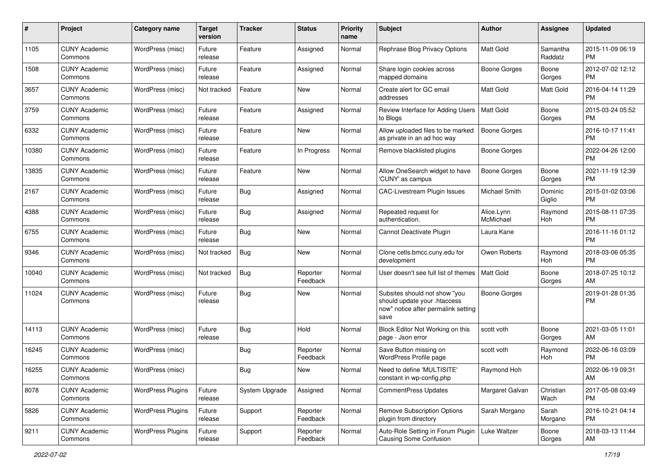| #     | Project                         | <b>Category name</b>     | <b>Target</b><br>version | <b>Tracker</b> | <b>Status</b>        | <b>Priority</b><br>name | <b>Subject</b>                                                                                               | Author                  | <b>Assignee</b>     | <b>Updated</b>                |
|-------|---------------------------------|--------------------------|--------------------------|----------------|----------------------|-------------------------|--------------------------------------------------------------------------------------------------------------|-------------------------|---------------------|-------------------------------|
| 1105  | <b>CUNY Academic</b><br>Commons | WordPress (misc)         | Future<br>release        | Feature        | Assigned             | Normal                  | Rephrase Blog Privacy Options                                                                                | <b>Matt Gold</b>        | Samantha<br>Raddatz | 2015-11-09 06:19<br>PM.       |
| 1508  | <b>CUNY Academic</b><br>Commons | WordPress (misc)         | Future<br>release        | Feature        | Assigned             | Normal                  | Share login cookies across<br>mapped domains                                                                 | <b>Boone Gorges</b>     | Boone<br>Gorges     | 2012-07-02 12:12<br><b>PM</b> |
| 3657  | <b>CUNY Academic</b><br>Commons | WordPress (misc)         | Not tracked              | Feature        | New                  | Normal                  | Create alert for GC email<br>addresses                                                                       | Matt Gold               | Matt Gold           | 2016-04-14 11:29<br><b>PM</b> |
| 3759  | <b>CUNY Academic</b><br>Commons | WordPress (misc)         | Future<br>release        | Feature        | Assigned             | Normal                  | Review Interface for Adding Users<br>to Blogs                                                                | Matt Gold               | Boone<br>Gorges     | 2015-03-24 05:52<br>PM.       |
| 6332  | <b>CUNY Academic</b><br>Commons | WordPress (misc)         | Future<br>release        | Feature        | New                  | Normal                  | Allow uploaded files to be marked<br>as private in an ad hoc way                                             | Boone Gorges            |                     | 2016-10-17 11:41<br><b>PM</b> |
| 10380 | <b>CUNY Academic</b><br>Commons | WordPress (misc)         | Future<br>release        | Feature        | In Progress          | Normal                  | Remove blacklisted plugins                                                                                   | Boone Gorges            |                     | 2022-04-26 12:00<br>PM.       |
| 13835 | <b>CUNY Academic</b><br>Commons | WordPress (misc)         | Future<br>release        | Feature        | New                  | Normal                  | Allow OneSearch widget to have<br>'CUNY' as campus                                                           | <b>Boone Gorges</b>     | Boone<br>Gorges     | 2021-11-19 12:39<br>PM.       |
| 2167  | <b>CUNY Academic</b><br>Commons | WordPress (misc)         | Future<br>release        | Bug            | Assigned             | Normal                  | <b>CAC-Livestream Plugin Issues</b>                                                                          | Michael Smith           | Dominic<br>Giglio   | 2015-01-02 03:06<br><b>PM</b> |
| 4388  | <b>CUNY Academic</b><br>Commons | WordPress (misc)         | Future<br>release        | Bug            | Assigned             | Normal                  | Repeated request for<br>authentication.                                                                      | Alice.Lynn<br>McMichael | Raymond<br>Hoh      | 2015-08-11 07:35<br><b>PM</b> |
| 6755  | <b>CUNY Academic</b><br>Commons | WordPress (misc)         | Future<br>release        | Bug            | New                  | Normal                  | Cannot Deactivate Plugin                                                                                     | Laura Kane              |                     | 2016-11-16 01:12<br><b>PM</b> |
| 9346  | <b>CUNY Academic</b><br>Commons | WordPress (misc)         | Not tracked              | Bug            | New                  | Normal                  | Clone cetls.bmcc.cuny.edu for<br>development                                                                 | Owen Roberts            | Raymond<br>Hoh      | 2018-03-06 05:35<br><b>PM</b> |
| 10040 | <b>CUNY Academic</b><br>Commons | WordPress (misc)         | Not tracked              | Bug            | Reporter<br>Feedback | Normal                  | User doesn't see full list of themes                                                                         | <b>Matt Gold</b>        | Boone<br>Gorges     | 2018-07-25 10:12<br>AM        |
| 11024 | <b>CUNY Academic</b><br>Commons | WordPress (misc)         | Future<br>release        | Bug            | New                  | Normal                  | Subsites should not show "you<br>should update your .htaccess<br>now" notice after permalink setting<br>save | Boone Gorges            |                     | 2019-01-28 01:35<br>PM.       |
| 14113 | <b>CUNY Academic</b><br>Commons | WordPress (misc)         | Future<br>release        | Bug            | Hold                 | Normal                  | Block Editor Not Working on this<br>page - Json error                                                        | scott voth              | Boone<br>Gorges     | 2021-03-05 11:01<br>AM        |
| 16245 | <b>CUNY Academic</b><br>Commons | WordPress (misc)         |                          | Bug            | Reporter<br>Feedback | Normal                  | Save Button missing on<br>WordPress Profile page                                                             | scott voth              | Raymond<br>Hoh      | 2022-06-16 03:09<br><b>PM</b> |
| 16255 | <b>CUNY Academic</b><br>Commons | WordPress (misc)         |                          | <b>Bug</b>     | New                  | Normal                  | Need to define 'MULTISITE'<br>constant in wp-config.php                                                      | Raymond Hoh             |                     | 2022-06-19 09:31<br>AM        |
| 8078  | <b>CUNY Academic</b><br>Commons | <b>WordPress Plugins</b> | Future<br>release        | System Upgrade | Assigned             | Normal                  | <b>CommentPress Updates</b>                                                                                  | Margaret Galvan         | Christian<br>Wach   | 2017-05-08 03:49<br>PM        |
| 5826  | <b>CUNY Academic</b><br>Commons | <b>WordPress Plugins</b> | Future<br>release        | Support        | Reporter<br>Feedback | Normal                  | Remove Subscription Options<br>plugin from directory                                                         | Sarah Morgano           | Sarah<br>Morgano    | 2016-10-21 04:14<br><b>PM</b> |
| 9211  | <b>CUNY Academic</b><br>Commons | <b>WordPress Plugins</b> | Future<br>release        | Support        | Reporter<br>Feedback | Normal                  | Auto-Role Setting in Forum Plugin<br>Causing Some Confusion                                                  | Luke Waltzer            | Boone<br>Gorges     | 2018-03-13 11:44<br>AM        |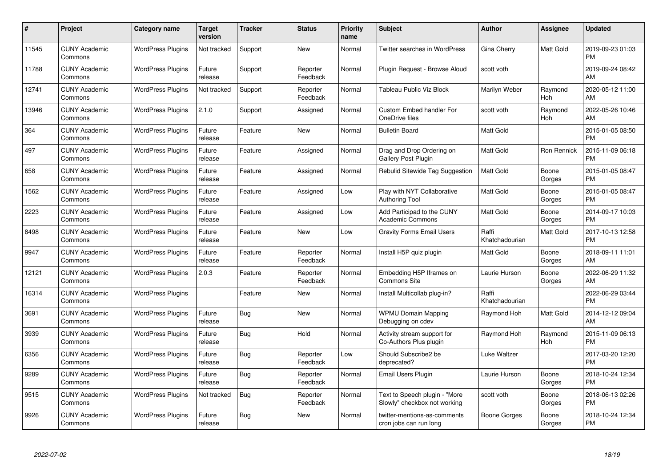| #     | Project                         | <b>Category name</b>     | <b>Target</b><br>version | <b>Tracker</b> | <b>Status</b>        | Priority<br>name | <b>Subject</b>                                                | <b>Author</b>           | <b>Assignee</b>  | <b>Updated</b>                |
|-------|---------------------------------|--------------------------|--------------------------|----------------|----------------------|------------------|---------------------------------------------------------------|-------------------------|------------------|-------------------------------|
| 11545 | <b>CUNY Academic</b><br>Commons | <b>WordPress Plugins</b> | Not tracked              | Support        | <b>New</b>           | Normal           | <b>Twitter searches in WordPress</b>                          | Gina Cherry             | <b>Matt Gold</b> | 2019-09-23 01:03<br><b>PM</b> |
| 11788 | <b>CUNY Academic</b><br>Commons | <b>WordPress Plugins</b> | Future<br>release        | Support        | Reporter<br>Feedback | Normal           | Plugin Request - Browse Aloud                                 | scott voth              |                  | 2019-09-24 08:42<br>AM        |
| 12741 | <b>CUNY Academic</b><br>Commons | <b>WordPress Plugins</b> | Not tracked              | Support        | Reporter<br>Feedback | Normal           | Tableau Public Viz Block                                      | Marilyn Weber           | Raymond<br>Hoh   | 2020-05-12 11:00<br>AM        |
| 13946 | <b>CUNY Academic</b><br>Commons | <b>WordPress Plugins</b> | 2.1.0                    | Support        | Assigned             | Normal           | <b>Custom Embed handler For</b><br>OneDrive files             | scott voth              | Raymond<br>Hoh   | 2022-05-26 10:46<br>AM        |
| 364   | <b>CUNY Academic</b><br>Commons | <b>WordPress Plugins</b> | Future<br>release        | Feature        | <b>New</b>           | Normal           | <b>Bulletin Board</b>                                         | <b>Matt Gold</b>        |                  | 2015-01-05 08:50<br><b>PM</b> |
| 497   | <b>CUNY Academic</b><br>Commons | <b>WordPress Plugins</b> | Future<br>release        | Feature        | Assigned             | Normal           | Drag and Drop Ordering on<br>Gallery Post Plugin              | <b>Matt Gold</b>        | Ron Rennick      | 2015-11-09 06:18<br><b>PM</b> |
| 658   | <b>CUNY Academic</b><br>Commons | <b>WordPress Plugins</b> | Future<br>release        | Feature        | Assigned             | Normal           | Rebulid Sitewide Tag Suggestion                               | <b>Matt Gold</b>        | Boone<br>Gorges  | 2015-01-05 08:47<br><b>PM</b> |
| 1562  | <b>CUNY Academic</b><br>Commons | <b>WordPress Plugins</b> | Future<br>release        | Feature        | Assigned             | Low              | Play with NYT Collaborative<br>Authoring Tool                 | Matt Gold               | Boone<br>Gorges  | 2015-01-05 08:47<br><b>PM</b> |
| 2223  | <b>CUNY Academic</b><br>Commons | <b>WordPress Plugins</b> | Future<br>release        | Feature        | Assigned             | Low              | Add Participad to the CUNY<br><b>Academic Commons</b>         | <b>Matt Gold</b>        | Boone<br>Gorges  | 2014-09-17 10:03<br><b>PM</b> |
| 8498  | <b>CUNY Academic</b><br>Commons | <b>WordPress Plugins</b> | Future<br>release        | Feature        | New                  | Low              | <b>Gravity Forms Email Users</b>                              | Raffi<br>Khatchadourian | Matt Gold        | 2017-10-13 12:58<br><b>PM</b> |
| 9947  | <b>CUNY Academic</b><br>Commons | <b>WordPress Plugins</b> | Future<br>release        | Feature        | Reporter<br>Feedback | Normal           | Install H5P quiz plugin                                       | Matt Gold               | Boone<br>Gorges  | 2018-09-11 11:01<br>AM        |
| 12121 | <b>CUNY Academic</b><br>Commons | <b>WordPress Plugins</b> | 2.0.3                    | Feature        | Reporter<br>Feedback | Normal           | Embedding H5P Iframes on<br><b>Commons Site</b>               | Laurie Hurson           | Boone<br>Gorges  | 2022-06-29 11:32<br>AM        |
| 16314 | <b>CUNY Academic</b><br>Commons | <b>WordPress Plugins</b> |                          | Feature        | New                  | Normal           | Install Multicollab plug-in?                                  | Raffi<br>Khatchadourian |                  | 2022-06-29 03:44<br><b>PM</b> |
| 3691  | <b>CUNY Academic</b><br>Commons | <b>WordPress Plugins</b> | Future<br>release        | Bug            | New                  | Normal           | <b>WPMU Domain Mapping</b><br>Debugging on cdev               | Raymond Hoh             | Matt Gold        | 2014-12-12 09:04<br>AM        |
| 3939  | <b>CUNY Academic</b><br>Commons | <b>WordPress Plugins</b> | Future<br>release        | Bug            | Hold                 | Normal           | Activity stream support for<br>Co-Authors Plus plugin         | Raymond Hoh             | Raymond<br>Hoh   | 2015-11-09 06:13<br><b>PM</b> |
| 6356  | <b>CUNY Academic</b><br>Commons | <b>WordPress Plugins</b> | Future<br>release        | Bug            | Reporter<br>Feedback | Low              | Should Subscribe2 be<br>deprecated?                           | Luke Waltzer            |                  | 2017-03-20 12:20<br><b>PM</b> |
| 9289  | <b>CUNY Academic</b><br>Commons | <b>WordPress Plugins</b> | Future<br>release        | Bug            | Reporter<br>Feedback | Normal           | Email Users Plugin                                            | Laurie Hurson           | Boone<br>Gorges  | 2018-10-24 12:34<br><b>PM</b> |
| 9515  | <b>CUNY Academic</b><br>Commons | <b>WordPress Plugins</b> | Not tracked              | Bug            | Reporter<br>Feedback | Normal           | Text to Speech plugin - "More<br>Slowly" checkbox not working | scott voth              | Boone<br>Gorges  | 2018-06-13 02:26<br><b>PM</b> |
| 9926  | <b>CUNY Academic</b><br>Commons | <b>WordPress Plugins</b> | Future<br>release        | Bug            | <b>New</b>           | Normal           | twitter-mentions-as-comments<br>cron jobs can run long        | Boone Gorges            | Boone<br>Gorges  | 2018-10-24 12:34<br><b>PM</b> |